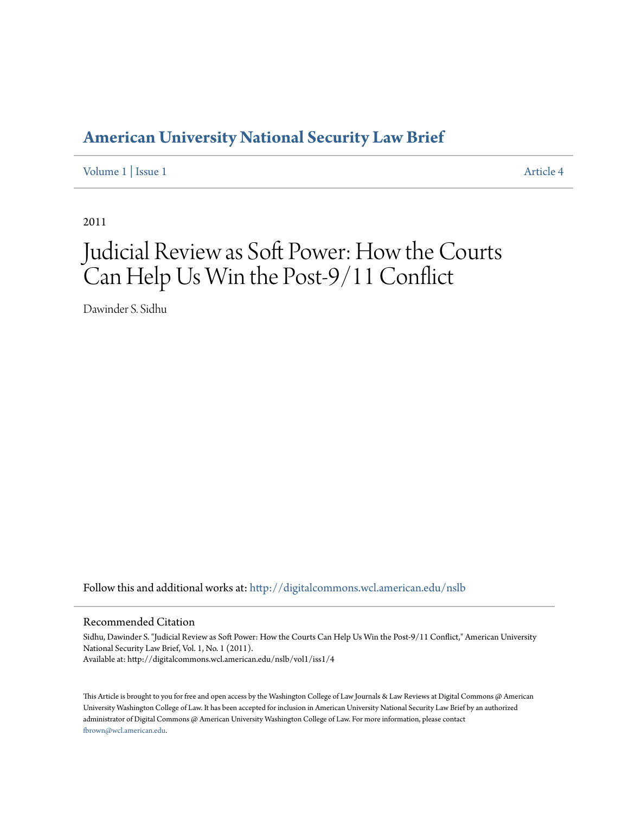# **[American University National Security Law Brief](http://digitalcommons.wcl.american.edu/nslb?utm_source=digitalcommons.wcl.american.edu%2Fnslb%2Fvol1%2Fiss1%2F4&utm_medium=PDF&utm_campaign=PDFCoverPages)**

[Volume 1](http://digitalcommons.wcl.american.edu/nslb/vol1?utm_source=digitalcommons.wcl.american.edu%2Fnslb%2Fvol1%2Fiss1%2F4&utm_medium=PDF&utm_campaign=PDFCoverPages) | [Issue 1](http://digitalcommons.wcl.american.edu/nslb/vol1/iss1?utm_source=digitalcommons.wcl.american.edu%2Fnslb%2Fvol1%2Fiss1%2F4&utm_medium=PDF&utm_campaign=PDFCoverPages) [Article 4](http://digitalcommons.wcl.american.edu/nslb/vol1/iss1/4?utm_source=digitalcommons.wcl.american.edu%2Fnslb%2Fvol1%2Fiss1%2F4&utm_medium=PDF&utm_campaign=PDFCoverPages)

2011

# Judicial Review as Soft Power: How the Courts Can Help Us Win the Post-9/11 Conflict

Dawinder S. Sidhu

Follow this and additional works at: [http://digitalcommons.wcl.american.edu/nslb](http://digitalcommons.wcl.american.edu/nslb?utm_source=digitalcommons.wcl.american.edu%2Fnslb%2Fvol1%2Fiss1%2F4&utm_medium=PDF&utm_campaign=PDFCoverPages)

#### Recommended Citation

Sidhu, Dawinder S. "Judicial Review as Soft Power: How the Courts Can Help Us Win the Post-9/11 Conflict," American University National Security Law Brief, Vol. 1, No. 1 (2011). Available at: http://digitalcommons.wcl.american.edu/nslb/vol1/iss1/4

This Article is brought to you for free and open access by the Washington College of Law Journals & Law Reviews at Digital Commons @ American University Washington College of Law. It has been accepted for inclusion in American University National Security Law Brief by an authorized administrator of Digital Commons @ American University Washington College of Law. For more information, please contact [fbrown@wcl.american.edu](mailto:fbrown@wcl.american.edu).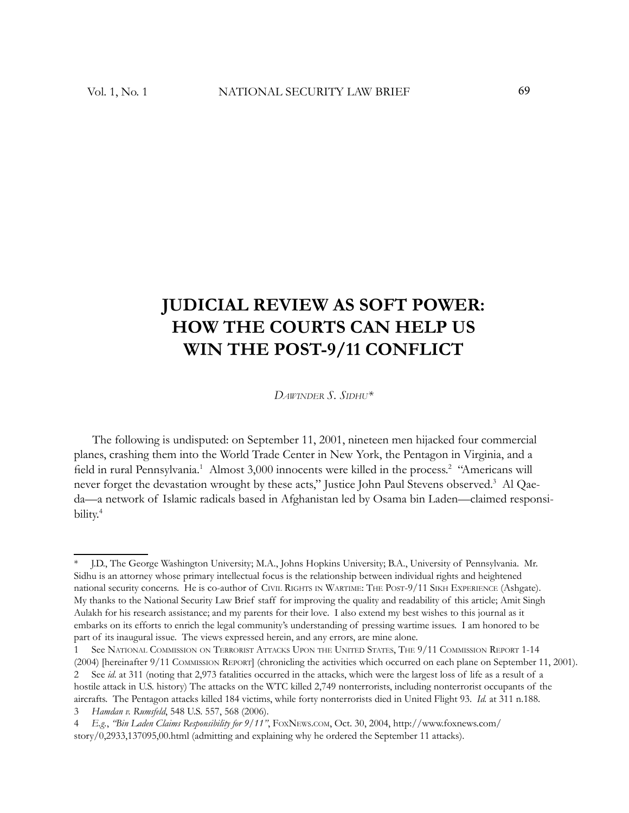# **JUDICIAL REVIEW AS SOFT POWER: HOW THE COURTS CAN HELP US WIN THE POST-9/11 CONFLICT**

*DAWINDER S. SIDHU\**

The following is undisputed: on September 11, 2001, nineteen men hijacked four commercial planes, crashing them into the World Trade Center in New York, the Pentagon in Virginia, and a field in rural Pennsylvania.<sup>1</sup> Almost 3,000 innocents were killed in the process.<sup>2</sup> "Americans will never forget the devastation wrought by these acts," Justice John Paul Stevens observed.<sup>3</sup> Al Qaeda—a network of Islamic radicals based in Afghanistan led by Osama bin Laden—claimed responsibility.<sup>4</sup>

<sup>\*</sup> J.D., The George Washington University; M.A., Johns Hopkins University; B.A., University of Pennsylvania. Mr. Sidhu is an attorney whose primary intellectual focus is the relationship between individual rights and heightened national security concerns. He is co-author of CIVIL RIGHTS IN WARTIME: THE POST-9/11 SIKH EXPERIENCE (Ashgate). My thanks to the National Security Law Brief staff for improving the quality and readability of this article; Amit Singh Aulakh for his research assistance; and my parents for their love. I also extend my best wishes to this journal as it embarks on its efforts to enrich the legal community's understanding of pressing wartime issues. I am honored to be part of its inaugural issue. The views expressed herein, and any errors, are mine alone.

See NATIONAL COMMISSION ON TERRORIST ATTACKS UPON THE UNITED STATES, THE 9/11 COMMISSION REPORT 1-14

<sup>(2004)</sup> [hereinafter 9/11 COMMISSION REPORT] (chronicling the activities which occurred on each plane on September 11, 2001).2 See *id*. at 311 (noting that 2,973 fatalities occurred in the attacks, which were the largest loss of life as a result of a hostile attack in U.S. history) The attacks on the WTC killed 2,749 nonterrorists, including nonterrorist occupants of the aircrafts. The Pentagon attacks killed 184 victims, while forty nonterrorists died in United Flight 93. *Id.* at 311 n.188.

<sup>3</sup> *Hamdan v. Rumsfeld*, 548 U.S. 557, 568 (2006).

<sup>4</sup> *E.g.*, *"Bin Laden Claims Responsibility for 9/11"*, FOXNEWS.COM, Oct. 30, 2004, http://www.foxnews.com/ story/0,2933,137095,00.html (admitting and explaining why he ordered the September 11 attacks).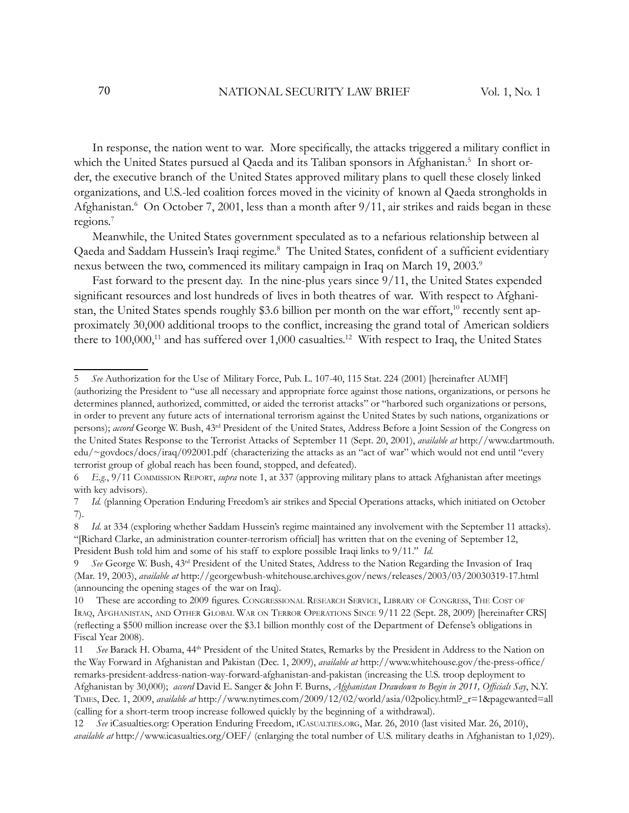In response, the nation went to war. More specifically, the attacks triggered a military conflict in which the United States pursued al Qaeda and its Taliban sponsors in Afghanistan.<sup>5</sup> In short order, the executive branch of the United States approved military plans to quell these closely linked organizations, and U.S.-led coalition forces moved in the vicinity of known al Qaeda strongholds in Afghanistan.<sup>6</sup> On October 7, 2001, less than a month after 9/11, air strikes and raids began in these regions.<sup>7</sup>

Meanwhile, the United States government speculated as to a nefarious relationship between al Qaeda and Saddam Hussein's Iraqi regime.<sup>8</sup> The United States, confident of a sufficient evidentiary nexus between the two, commenced its military campaign in Iraq on March 19, 2003.<sup>9</sup>

Fast forward to the present day. In the nine-plus years since 9/11, the United States expended significant resources and lost hundreds of lives in both theatres of war. With respect to Afghanistan, the United States spends roughly \$3.6 billion per month on the war effort,<sup>10</sup> recently sent approximately 30,000 additional troops to the conflict, increasing the grand total of American soldiers there to  $100,000$ ,<sup>11</sup> and has suffered over 1,000 casualties.<sup>12</sup> With respect to Iraq, the United States

<sup>5</sup> *See* Authorization for the Use of Military Force, Pub. L. 107-40, 115 Stat. 224 (2001) [hereinafter AUMF] (authorizing the President to "use all necessary and appropriate force against those nations, organizations, or persons he determines planned, authorized, committed, or aided the terrorist attacks" or "harbored such organizations or persons, in order to prevent any future acts of international terrorism against the United States by such nations, organizations or persons); *accord* George W. Bush, 43rd President of the United States, Address Before a Joint Session of the Congress on the United States Response to the Terrorist Attacks of September 11 (Sept. 20, 2001), *available at* http://www.dartmouth. edu/~govdocs/docs/iraq/092001.pdf (characterizing the attacks as an "act of war" which would not end until "every terrorist group of global reach has been found, stopped, and defeated).

<sup>6</sup> *E.g.*, 9/11 COMMISSION REPORT, *supra* note 1, at 337 (approving military plans to attack Afghanistan after meetings with key advisors).

<sup>7</sup> *Id.* (planning Operation Enduring Freedom's air strikes and Special Operations attacks, which initiated on October 7).

<sup>8</sup> *Id*. at 334 (exploring whether Saddam Hussein's regime maintained any involvement with the September 11 attacks). "[Richard Clarke, an administration counter-terrorism official] has written that on the evening of September 12, President Bush told him and some of his staff to explore possible Iraqi links to 9/11." *Id.*

<sup>9</sup> *See* George W. Bush, 43rd President of the United States, Address to the Nation Regarding the Invasion of Iraq (Mar. 19, 2003), *available at* http://georgewbush-whitehouse.archives.gov/news/releases/2003/03/20030319-17.html (announcing the opening stages of the war on Iraq).

<sup>10</sup> These are according to 2009 figures. CONGRESSIONAL RESEARCH SERVICE, LIBRARY OF CONGRESS, THE COST OF IRAQ, AFGHANISTAN, AND OTHER GLOBAL WAR ON TERROR OPERATIONS SINCE 9/11 22 (Sept. 28, 2009) [hereinafter CRS] (reflecting a \$500 million increase over the \$3.1 billion monthly cost of the Department of Defense's obligations in Fiscal Year 2008).

<sup>11</sup> *See* Barack H. Obama, 44th President of the United States, Remarks by the President in Address to the Nation on the Way Forward in Afghanistan and Pakistan (Dec. 1, 2009), *available at* http://www.whitehouse.gov/the-press-office/ remarks-president-address-nation-way-forward-afghanistan-and-pakistan (increasing the U.S. troop deployment to Afghanistan by 30,000); accord David E. Sanger & John F. Burns, *Afghanistan Drawdown to Begin in 2011*, Officials Say, N.Y. TIMES, Dec. 1, 2009, *available at* http://www.nytimes.com/2009/12/02/world/asia/02policy.html?\_r=1&pagewanted=all (calling for a short-term troop increase followed quickly by the beginning of a withdrawal).

<sup>12</sup> *See* iCasualties.org: Operation Enduring Freedom, ICASUALTIES.ORG, Mar. 26, 2010 (last visited Mar. 26, 2010), *available at* http://www.icasualties.org/OEF/ (enlarging the total number of U.S. military deaths in Afghanistan to 1,029).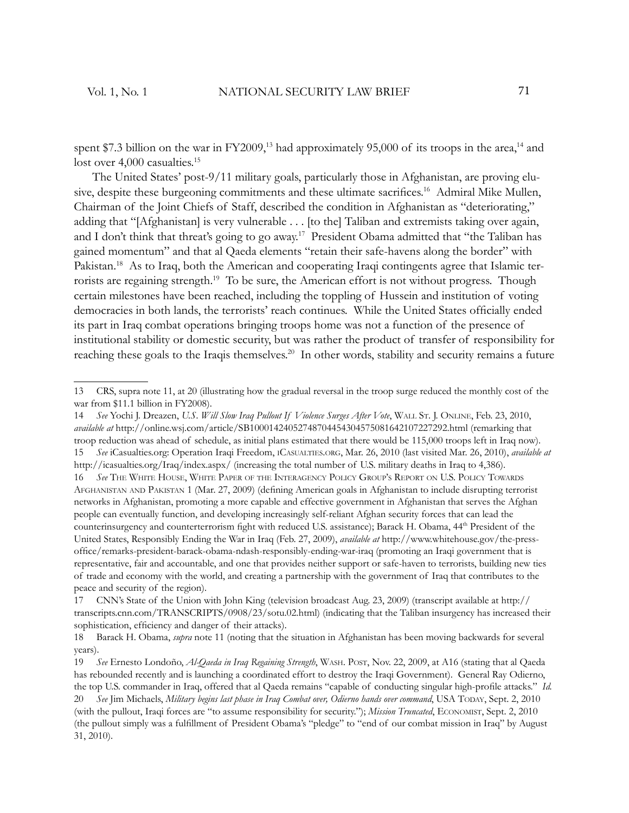spent \$7.3 billion on the war in FY2009,<sup>13</sup> had approximately 95,000 of its troops in the area,<sup>14</sup> and lost over 4,000 casualties.<sup>15</sup>

The United States' post-9/11 military goals, particularly those in Afghanistan, are proving elusive, despite these burgeoning commitments and these ultimate sacrifices.<sup>16</sup> Admiral Mike Mullen, Chairman of the Joint Chiefs of Staff, described the condition in Afghanistan as "deteriorating," adding that "[Afghanistan] is very vulnerable . . . [to the] Taliban and extremists taking over again, and I don't think that threat's going to go away.<sup>17</sup> President Obama admitted that "the Taliban has gained momentum" and that al Qaeda elements "retain their safe-havens along the border" with Pakistan.<sup>18</sup> As to Iraq, both the American and cooperating Iraqi contingents agree that Islamic terrorists are regaining strength.<sup>19</sup> To be sure, the American effort is not without progress. Though certain milestones have been reached, including the toppling of Hussein and institution of voting democracies in both lands, the terrorists' reach continues. While the United States officially ended its part in Iraq combat operations bringing troops home was not a function of the presence of institutional stability or domestic security, but was rather the product of transfer of responsibility for reaching these goals to the Iraqis themselves.<sup>20</sup> In other words, stability and security remains a future

<sup>13</sup> CRS, supra note 11, at 20 (illustrating how the gradual reversal in the troop surge reduced the monthly cost of the war from \$11.1 billion in FY2008).

<sup>14</sup> *See* Yochi J. Dreazen, *U.S. Will Slow Iraq Pullout If Violence Surges After Vote*, WALL ST. J. ONLINE, Feb. 23, 2010, *available at* http://online.wsj.com/article/SB10001424052748704454304575081642107227292.html (remarking that troop reduction was ahead of schedule, as initial plans estimated that there would be 115,000 troops left in Iraq now). 15 *See* iCasualties.org: Operation Iraqi Freedom, ICASUALTIES.ORG, Mar. 26, 2010 (last visited Mar. 26, 2010), *available at* http://icasualties.org/Iraq/index.aspx/ (increasing the total number of U.S. military deaths in Iraq to 4,386). 16 *See* THE WHITE HOUSE, WHITE PAPER OF THE INTERAGENCY POLICY GROUP'S REPORT ON U.S. POLICY TOWARDS AFGHANISTAN AND PAKISTAN 1 (Mar. 27, 2009) (defining American goals in Afghanistan to include disrupting terrorist networks in Afghanistan, promoting a more capable and effective government in Afghanistan that serves the Afghan people can eventually function, and developing increasingly self-reliant Afghan security forces that can lead the counterinsurgency and counterterrorism fight with reduced U.S. assistance); Barack H. Obama, 44<sup>th</sup> President of the United States, Responsibly Ending the War in Iraq (Feb. 27, 2009), *available at* http://www.whitehouse.gov/the-pressoffice/remarks-president-barack-obama-ndash-responsibly-ending-war-iraq (promoting an Iraqi government that is representative, fair and accountable, and one that provides neither support or safe-haven to terrorists, building new ties of trade and economy with the world, and creating a partnership with the government of Iraq that contributes to the peace and security of the region).

<sup>17</sup> CNN's State of the Union with John King (television broadcast Aug. 23, 2009) (transcript available at http:// transcripts.cnn.com/TRANSCRIPTS/0908/23/sotu.02.html) (indicating that the Taliban insurgency has increased their sophistication, efficiency and danger of their attacks).

<sup>18</sup> Barack H. Obama, *supra* note 11 (noting that the situation in Afghanistan has been moving backwards for several years).

<sup>19</sup> *See* Ernesto Londoño, *Al-Qaeda in Iraq Regaining Strength*, WASH. POST, Nov. 22, 2009, at A16 (stating that al Qaeda has rebounded recently and is launching a coordinated effort to destroy the Iraqi Government). General Ray Odierno, the top U.S. commander in Iraq, offered that al Qaeda remains "capable of conducting singular high-profile attacks." *Id.* 20 *See* Jim Michaels, *Military begins last phase in Iraq Combat over, Odierno hands over command*, USA TODAY, Sept. 2, 2010 (with the pullout, Iraqi forces are "to assume responsibility for security.") ; *Mission Truncated*, ECONOMIST, Sept. 2, 2010 (the pullout simply was a fulfillment of President Obama's "pledge" to "end of our combat mission in Iraq" by August 31, 2010).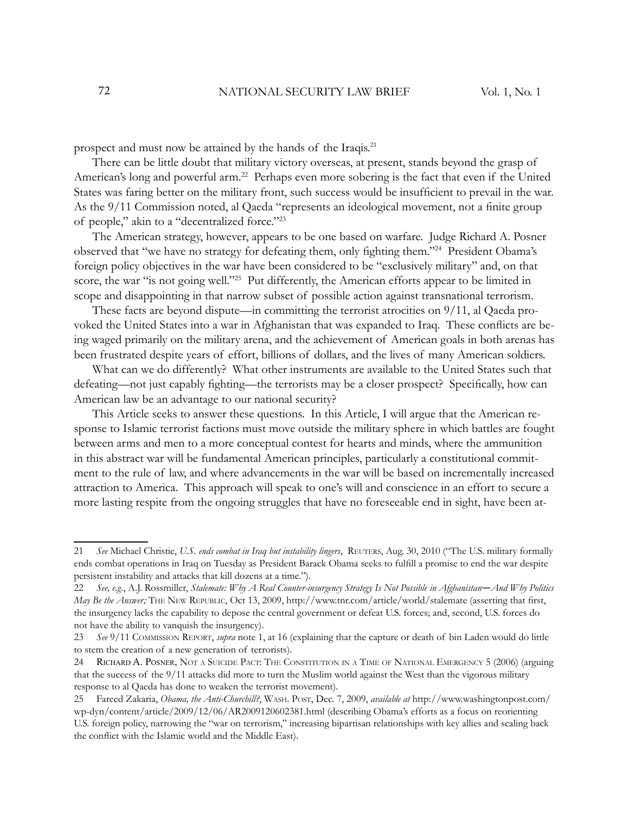prospect and must now be attained by the hands of the Iraqis.<sup>21</sup>

There can be little doubt that military victory overseas, at present, stands beyond the grasp of American's long and powerful arm.<sup>22</sup> Perhaps even more sobering is the fact that even if the United States was faring better on the military front, such success would be insufficient to prevail in the war. As the 9/11 Commission noted, al Qaeda "represents an ideological movement, not a finite group of people," akin to a "decentralized force."<sup>23</sup>

The American strategy, however, appears to be one based on warfare. Judge Richard A. Posner observed that "we have no strategy for defeating them, only fighting them."<sup>24</sup> President Obama's foreign policy objectives in the war have been considered to be "exclusively military" and, on that score, the war "is not going well."<sup>25</sup> Put differently, the American efforts appear to be limited in scope and disappointing in that narrow subset of possible action against transnational terrorism.

These facts are beyond dispute—in committing the terrorist atrocities on 9/11, al Qaeda provoked the United States into a war in Afghanistan that was expanded to Iraq. These conflicts are being waged primarily on the military arena, and the achievement of American goals in both arenas has been frustrated despite years of effort, billions of dollars, and the lives of many American soldiers.

What can we do differently? What other instruments are available to the United States such that defeating—not just capably fighting—the terrorists may be a closer prospect? Specifically, how can American law be an advantage to our national security?

This Article seeks to answer these questions. In this Article, I will argue that the American response to Islamic terrorist factions must move outside the military sphere in which battles are fought between arms and men to a more conceptual contest for hearts and minds, where the ammunition in this abstract war will be fundamental American principles, particularly a constitutional commitment to the rule of law, and where advancements in the war will be based on incrementally increased attraction to America. This approach will speak to one's will and conscience in an effort to secure a more lasting respite from the ongoing struggles that have no foreseeable end in sight, have been at-

<sup>21</sup> *See* Michael Christie, *U.S. ends combat in Iraq but instability lingers*, REUTERS, Aug. 30, 2010 ("The U.S. military formally ends combat operations in Iraq on Tuesday as President Barack Obama seeks to fulfill a promise to end the war despite persistent instability and attacks that kill dozens at a time.").

<sup>22</sup> *See, e.g.*, A.J. Rossmiller, *Stalemate: Why A Real Counter-insurgency Strategy Is Not Possible in Afghanistan—And Why Politics May Be the Answer;* THE NEW REPUBLIC, Oct 13, 2009, http://www.tnr.com/article/world/stalemate (asserting that first, the insurgency lacks the capability to depose the central government or defeat U.S. forces; and, second, U.S. forces do not have the ability to vanquish the insurgency).

<sup>23</sup> *See* 9/11 COMMISSION REPORT, *supra* note 1, at 16 (explaining that the capture or death of bin Laden would do little to stem the creation of a new generation of terrorists).

<sup>24</sup> RICHARD A. POSNER, NOT <sup>A</sup> SUICIDE PACT: THE CONSTITUTION IN <sup>A</sup> TIME OF NATIONAL EMERGENCY 5 (2006) (arguing that the success of the 9/11 attacks did more to turn the Muslim world against the West than the vigorous military response to al Qaeda has done to weaken the terrorist movement).

<sup>25</sup> Fareed Zakaria, *Obama, the Anti-Churchill?*, WASH. POST, Dec. 7, 2009, *available at* http://www.washingtonpost.com/ wp-dyn/content/article/2009/12/06/AR2009120602381.html (describing Obama's efforts as a focus on reorienting U.S. foreign policy, narrowing the "war on terrorism," increasing bipartisan relationships with key allies and scaling back the conflict with the Islamic world and the Middle East).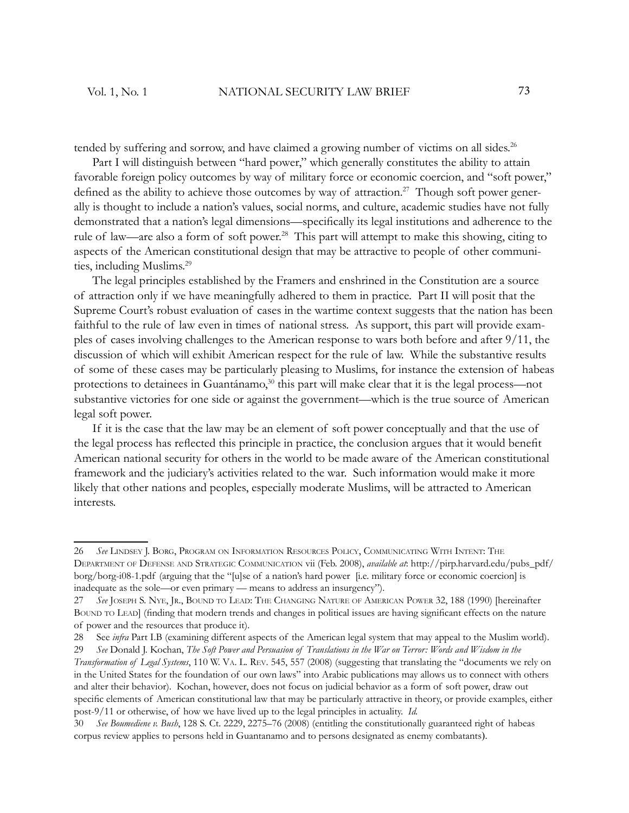tended by suffering and sorrow, and have claimed a growing number of victims on all sides.<sup>26</sup>

Part I will distinguish between "hard power," which generally constitutes the ability to attain favorable foreign policy outcomes by way of military force or economic coercion, and "soft power," defined as the ability to achieve those outcomes by way of attraction.<sup>27</sup> Though soft power generally is thought to include a nation's values, social norms, and culture, academic studies have not fully demonstrated that a nation's legal dimensions—specifically its legal institutions and adherence to the rule of law—are also a form of soft power.<sup>28</sup> This part will attempt to make this showing, citing to aspects of the American constitutional design that may be attractive to people of other communities, including Muslims.<sup>29</sup>

The legal principles established by the Framers and enshrined in the Constitution are a source of attraction only if we have meaningfully adhered to them in practice. Part II will posit that the Supreme Court's robust evaluation of cases in the wartime context suggests that the nation has been faithful to the rule of law even in times of national stress. As support, this part will provide examples of cases involving challenges to the American response to wars both before and after 9/11, the discussion of which will exhibit American respect for the rule of law. While the substantive results of some of these cases may be particularly pleasing to Muslims, for instance the extension of habeas protections to detainees in Guantánamo,<sup>30</sup> this part will make clear that it is the legal process—not substantive victories for one side or against the government—which is the true source of American legal soft power.

If it is the case that the law may be an element of soft power conceptually and that the use of the legal process has reflected this principle in practice, the conclusion argues that it would benefit American national security for others in the world to be made aware of the American constitutional framework and the judiciary's activities related to the war. Such information would make it more likely that other nations and peoples, especially moderate Muslims, will be attracted to American interests.

<sup>26</sup> *See* LINDSEY J. BORG, PROGRAM ON INFORMATION RESOURCES POLICY, COMMUNICATING WITH INTENT: THE DEPARTMENT OF DEFENSE AND STRATEGIC COMMUNICATION vii (Feb. 2008), *available at*: http://pirp.harvard.edu/pubs\_pdf/ borg/borg-i08-1.pdf (arguing that the "[u]se of a nation's hard power [i.e. military force or economic coercion] is inadequate as the sole—or even primary — means to address an insurgency").

<sup>27</sup> *See* JOSEPH S. NYE, JR., BOUND TO LEAD: THE CHANGING NATURE OF AMERICAN POWER 32, 188 (1990) [hereinafter BOUND TO LEAD] (finding that modern trends and changes in political issues are having significant effects on the nature of power and the resources that produce it).

<sup>28</sup> See *infra* Part I.B (examining different aspects of the American legal system that may appeal to the Muslim world).

<sup>29</sup> *See* Donald J. Kochan, *The Soft Power and Persuasion of Translations in the War on Terror: Words and Wisdom in the* 

*Transformation of Legal Systems*, 110 W. VA. L. REV. 545, 557 (2008) (suggesting that translating the "documents we rely on in the United States for the foundation of our own laws" into Arabic publications may allows us to connect with others and alter their behavior). Kochan, however, does not focus on judicial behavior as a form of soft power, draw out specific elements of American constitutional law that may be particularly attractive in theory, or provide examples, either post-9/11 or otherwise, of how we have lived up to the legal principles in actuality. *Id.*

<sup>30</sup> *See Boumediene v. Bush*, 128 S. Ct. 2229, 2275–76 (2008) (entitling the constitutionally guaranteed right of habeas corpus review applies to persons held in Guantanamo and to persons designated as enemy combatants).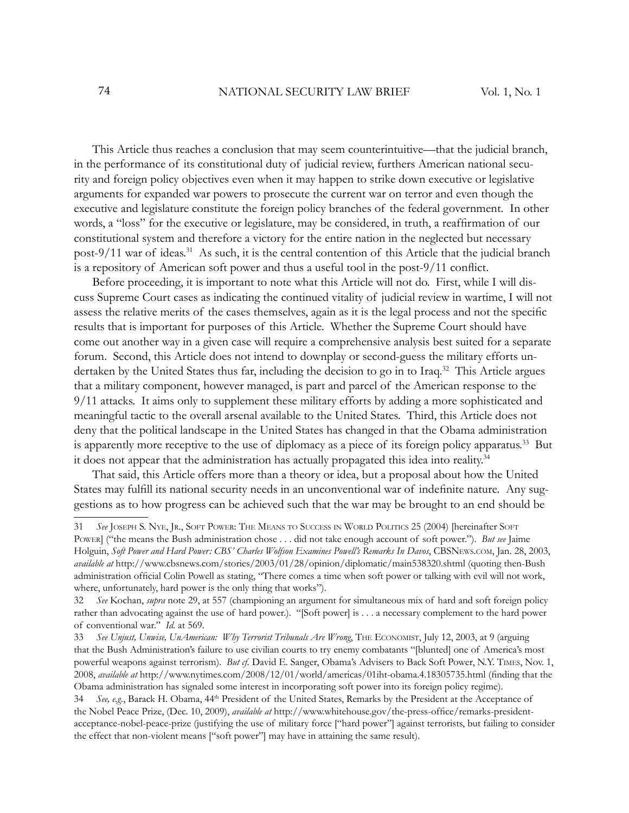This Article thus reaches a conclusion that may seem counterintuitive—that the judicial branch, in the performance of its constitutional duty of judicial review, furthers American national security and foreign policy objectives even when it may happen to strike down executive or legislative arguments for expanded war powers to prosecute the current war on terror and even though the executive and legislature constitute the foreign policy branches of the federal government. In other words, a "loss" for the executive or legislature, may be considered, in truth, a reaffirmation of our constitutional system and therefore a victory for the entire nation in the neglected but necessary post-9/11 war of ideas.<sup>31</sup> As such, it is the central contention of this Article that the judicial branch is a repository of American soft power and thus a useful tool in the post-9/11 conflict.

Before proceeding, it is important to note what this Article will not do. First, while I will discuss Supreme Court cases as indicating the continued vitality of judicial review in wartime, I will not assess the relative merits of the cases themselves, again as it is the legal process and not the specific results that is important for purposes of this Article. Whether the Supreme Court should have come out another way in a given case will require a comprehensive analysis best suited for a separate forum. Second, this Article does not intend to downplay or second-guess the military efforts undertaken by the United States thus far, including the decision to go in to Iraq.<sup>32</sup> This Article argues that a military component, however managed, is part and parcel of the American response to the 9/11 attacks. It aims only to supplement these military efforts by adding a more sophisticated and meaningful tactic to the overall arsenal available to the United States. Third, this Article does not deny that the political landscape in the United States has changed in that the Obama administration is apparently more receptive to the use of diplomacy as a piece of its foreign policy apparatus.<sup>33</sup> But it does not appear that the administration has actually propagated this idea into reality.<sup>34</sup>

That said, this Article offers more than a theory or idea, but a proposal about how the United States may fulfill its national security needs in an unconventional war of indefinite nature. Any suggestions as to how progress can be achieved such that the war may be brought to an end should be

<sup>31</sup> *See* JOSEPH S. NYE, JR., SOFT POWER: THE MEANS TO SUCCESS IN WORLD POLITICS 25 (2004) [hereinafter SOFT POWER] ("the means the Bush administration chose . . . did not take enough account of soft power."). *But see* Jaime Holguin, *Soft Power and Hard Power: CBS' Charles Wolfson Examines Powell's Remarks In Davos*, CBSNEWS.COM, Jan. 28, 2003, *available at* http://www.cbsnews.com/stories/2003/01/28/opinion/diplomatic/main538320.shtml (quoting then-Bush administration official Colin Powell as stating, "There comes a time when soft power or talking with evil will not work, where, unfortunately, hard power is the only thing that works").

<sup>32</sup> *See* Kochan, *supra* note 29, at 557 (championing an argument for simultaneous mix of hard and soft foreign policy rather than advocating against the use of hard power.). "[Soft power] is . . . a necessary complement to the hard power of conventional war." *Id.* at 569.

<sup>33</sup> See Unjust, Unwise, UnAmerican: Why Terrorist Tribunals Are Wrong, THE ECONOMIST, July 12, 2003, at 9 (arguing that the Bush Administration's failure to use civilian courts to try enemy combatants "[blunted] one of America's most powerful weapons against terrorism). *But cf.* David E. Sanger, Obama's Advisers to Back Soft Power, N.Y. TIMES, Nov. 1, 2008, *available at* http://www.nytimes.com/2008/12/01/world/americas/01iht-obama.4.18305735.html (finding that the Obama administration has signaled some interest in incorporating soft power into its foreign policy regime).

<sup>34</sup> *See, e.g.*, Barack H. Obama, 44th President of the United States, Remarks by the President at the Acceptance of the Nobel Peace Prize, (Dec. 10, 2009), *available at* http://www.whitehouse.gov/the-press-office/remarks-presidentacceptance-nobel-peace-prize (justifying the use of military force ["hard power"] against terrorists, but failing to consider the effect that non-violent means ["soft power"] may have in attaining the same result).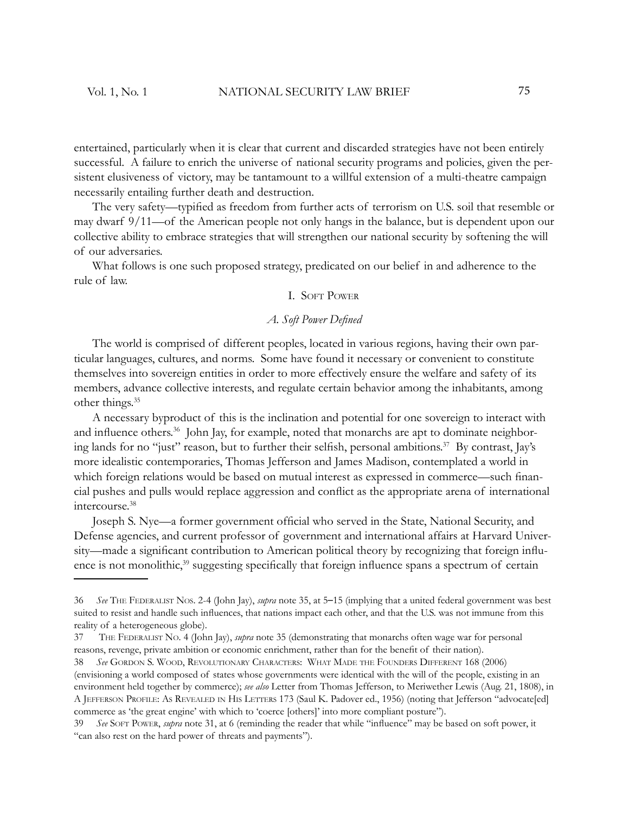entertained, particularly when it is clear that current and discarded strategies have not been entirely successful. A failure to enrich the universe of national security programs and policies, given the persistent elusiveness of victory, may be tantamount to a willful extension of a multi-theatre campaign necessarily entailing further death and destruction.

The very safety—typified as freedom from further acts of terrorism on U.S. soil that resemble or may dwarf 9/11—of the American people not only hangs in the balance, but is dependent upon our collective ability to embrace strategies that will strengthen our national security by softening the will of our adversaries.

What follows is one such proposed strategy, predicated on our belief in and adherence to the rule of law.

## I. SOFT POWER

# *A. Soft Power Defi ned*

The world is comprised of different peoples, located in various regions, having their own particular languages, cultures, and norms. Some have found it necessary or convenient to constitute themselves into sovereign entities in order to more effectively ensure the welfare and safety of its members, advance collective interests, and regulate certain behavior among the inhabitants, among other things.<sup>35</sup>

A necessary byproduct of this is the inclination and potential for one sovereign to interact with and influence others.<sup>36</sup> John Jay, for example, noted that monarchs are apt to dominate neighboring lands for no "just" reason, but to further their selfish, personal ambitions.<sup>37</sup> By contrast, Jay's more idealistic contemporaries, Thomas Jefferson and James Madison, contemplated a world in which foreign relations would be based on mutual interest as expressed in commerce—such financial pushes and pulls would replace aggression and conflict as the appropriate arena of international intercourse.<sup>38</sup>

Joseph S. Nye—a former government official who served in the State, National Security, and Defense agencies, and current professor of government and international affairs at Harvard University—made a significant contribution to American political theory by recognizing that foreign influence is not monolithic,<sup>39</sup> suggesting specifically that foreign influence spans a spectrum of certain

<sup>36</sup> *See* THE FEDERALIST NOS. 2-4 (John Jay), *supra* note 35, at 5–15 (implying that a united federal government was best suited to resist and handle such influences, that nations impact each other, and that the U.S. was not immune from this reality of a heterogeneous globe).

<sup>37</sup> THE FEDERALIST NO. 4 (John Jay), *supra* note 35 (demonstrating that monarchs often wage war for personal reasons, revenge, private ambition or economic enrichment, rather than for the benefit of their nation).

<sup>38</sup> *See* GORDON S. WOOD, REVOLUTIONARY CHARACTERS: WHAT MADE THE FOUNDERS DIFFERENT 168 (2006) (envisioning a world composed of states whose governments were identical with the will of the people, existing in an environment held together by commerce); *see also* Letter from Thomas Jefferson, to Meriwether Lewis (Aug. 21, 1808), in A JEFFERSON PROFILE: AS REVEALED IN HIS LETTERS 173 (Saul K. Padover ed., 1956) (noting that Jefferson "advocate[ed] commerce as 'the great engine' with which to 'coerce [others]' into more compliant posture").

<sup>39</sup> *See* SOFT POWER, *supra* note 31, at 6 (reminding the reader that while "infl uence" may be based on soft power, it "can also rest on the hard power of threats and payments").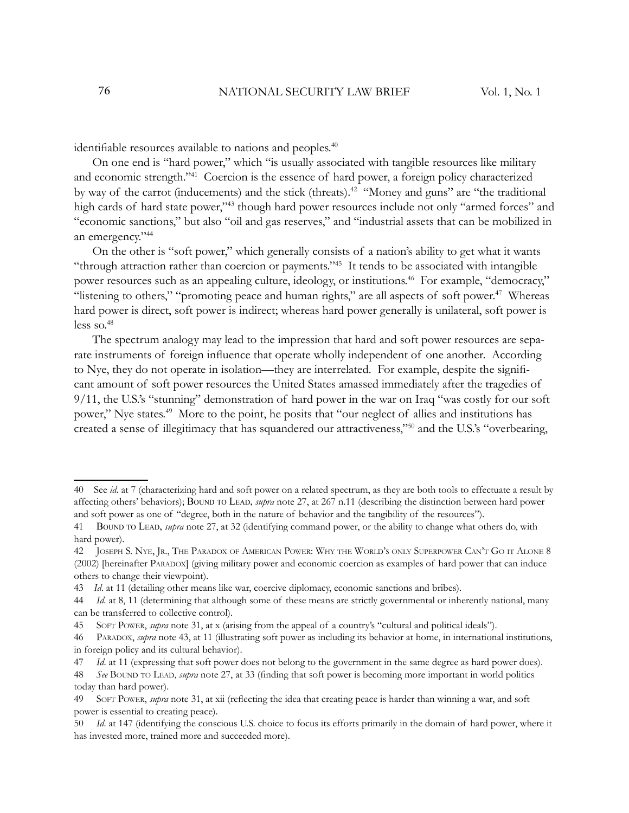identifiable resources available to nations and peoples.<sup>40</sup>

On one end is "hard power," which "is usually associated with tangible resources like military and economic strength."<sup>41</sup> Coercion is the essence of hard power, a foreign policy characterized by way of the carrot (inducements) and the stick (threats).<sup>42</sup> "Money and guns" are "the traditional high cards of hard state power,"<sup>43</sup> though hard power resources include not only "armed forces" and "economic sanctions," but also "oil and gas reserves," and "industrial assets that can be mobilized in an emergency."<sup>44</sup>

On the other is "soft power," which generally consists of a nation's ability to get what it wants "through attraction rather than coercion or payments."<sup>45</sup> It tends to be associated with intangible power resources such as an appealing culture, ideology, or institutions.<sup>46</sup> For example, "democracy," "listening to others," "promoting peace and human rights," are all aspects of soft power.<sup>47</sup> Whereas hard power is direct, soft power is indirect; whereas hard power generally is unilateral, soft power is less so. $48$ 

The spectrum analogy may lead to the impression that hard and soft power resources are separate instruments of foreign influence that operate wholly independent of one another. According to Nye, they do not operate in isolation—they are interrelated. For example, despite the signifi cant amount of soft power resources the United States amassed immediately after the tragedies of 9/11, the U.S.'s "stunning" demonstration of hard power in the war on Iraq "was costly for our soft power," Nye states.<sup>49</sup> More to the point, he posits that "our neglect of allies and institutions has created a sense of illegitimacy that has squandered our attractiveness,"<sup>50</sup> and the U.S.'s "overbearing,

43 *Id*. at 11 (detailing other means like war, coercive diplomacy, economic sanctions and bribes).

<sup>40</sup> See *id*. at 7 (characterizing hard and soft power on a related spectrum, as they are both tools to effectuate a result by affecting others' behaviors); BOUND TO LEAD, *supra* note 27, at 267 n.11 (describing the distinction between hard power and soft power as one of "degree, both in the nature of behavior and the tangibility of the resources").

<sup>41</sup> BOUND TO LEAD, *supra* note 27, at 32 (identifying command power, or the ability to change what others do, with hard power).

<sup>42</sup> JOSEPH S. NYE, JR., THE PARADOX OF AMERICAN POWER: WHY THE WORLD'<sup>S</sup> ONLY SUPERPOWER CAN'T G<sup>O</sup> IT ALONE 8 (2002) [hereinafter PARADOX] (giving military power and economic coercion as examples of hard power that can induce others to change their viewpoint).

<sup>44</sup> *Id.* at 8, 11 (determining that although some of these means are strictly governmental or inherently national, many can be transferred to collective control).

<sup>45</sup> SOFT POWER, *supra* note 31, at x (arising from the appeal of a country's "cultural and political ideals").

<sup>46</sup> PARADOX, *supra* note 43, at 11 (illustrating soft power as including its behavior at home, in international institutions, in foreign policy and its cultural behavior).

<sup>47</sup> *Id*. at 11 (expressing that soft power does not belong to the government in the same degree as hard power does).

<sup>48</sup> *See* BOUND TO LEAD, *supra* note 27, at 33 (fi nding that soft power is becoming more important in world politics today than hard power).

<sup>49</sup> SOFT POWER, *supra* note 31, at xii (reflecting the idea that creating peace is harder than winning a war, and soft power is essential to creating peace).

<sup>50</sup> *Id*. at 147 (identifying the conscious U.S. choice to focus its efforts primarily in the domain of hard power, where it has invested more, trained more and succeeded more).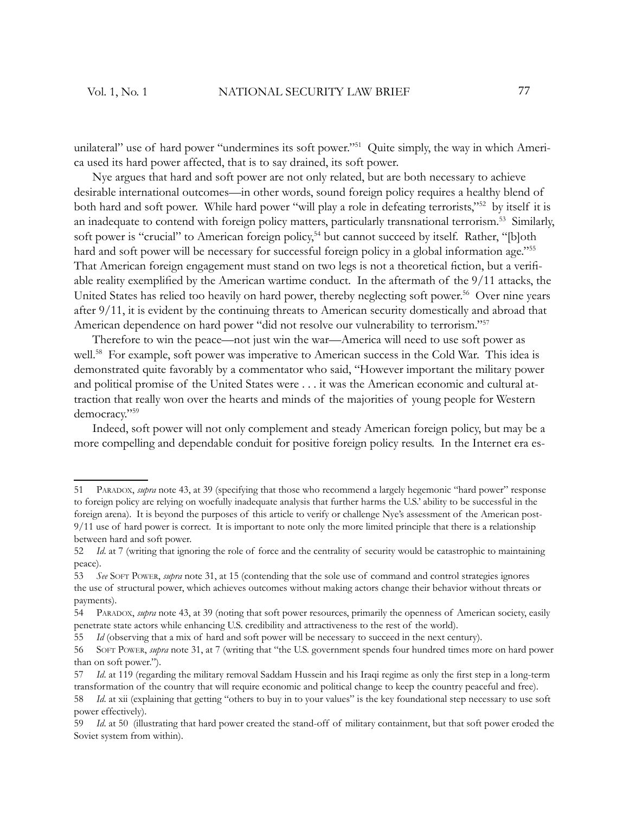unilateral" use of hard power "undermines its soft power."<sup>51</sup> Quite simply, the way in which America used its hard power affected, that is to say drained, its soft power.

Nye argues that hard and soft power are not only related, but are both necessary to achieve desirable international outcomes—in other words, sound foreign policy requires a healthy blend of both hard and soft power. While hard power "will play a role in defeating terrorists,"<sup>52</sup> by itself it is an inadequate to contend with foreign policy matters, particularly transnational terrorism.<sup>53</sup> Similarly, soft power is "crucial" to American foreign policy,<sup>54</sup> but cannot succeed by itself. Rather, "[b]oth hard and soft power will be necessary for successful foreign policy in a global information age."<sup>55</sup> That American foreign engagement must stand on two legs is not a theoretical fiction, but a verifiable reality exemplified by the American wartime conduct. In the aftermath of the  $9/11$  attacks, the United States has relied too heavily on hard power, thereby neglecting soft power.<sup>56</sup> Over nine years after 9/11, it is evident by the continuing threats to American security domestically and abroad that American dependence on hard power "did not resolve our vulnerability to terrorism."<sup>57</sup>

Therefore to win the peace—not just win the war—America will need to use soft power as well.<sup>58</sup> For example, soft power was imperative to American success in the Cold War. This idea is demonstrated quite favorably by a commentator who said, "However important the military power and political promise of the United States were . . . it was the American economic and cultural attraction that really won over the hearts and minds of the majorities of young people for Western democracy."<sup>59</sup>

Indeed, soft power will not only complement and steady American foreign policy, but may be a more compelling and dependable conduit for positive foreign policy results. In the Internet era es-

<sup>51</sup> PARADOX, *supra* note 43, at 39 (specifying that those who recommend a largely hegemonic "hard power" response to foreign policy are relying on woefully inadequate analysis that further harms the U.S.' ability to be successful in the foreign arena). It is beyond the purposes of this article to verify or challenge Nye's assessment of the American post-9/11 use of hard power is correct. It is important to note only the more limited principle that there is a relationship between hard and soft power.

<sup>52</sup> *Id*. at 7 (writing that ignoring the role of force and the centrality of security would be catastrophic to maintaining peace).

<sup>53</sup> *See* SOFT POWER, *supra* note 31, at 15 (contending that the sole use of command and control strategies ignores the use of structural power, which achieves outcomes without making actors change their behavior without threats or payments).

<sup>54</sup> PARADOX, *supra* note 43, at 39 (noting that soft power resources, primarily the openness of American society, easily penetrate state actors while enhancing U.S. credibility and attractiveness to the rest of the world).

<sup>55</sup> *Id* (observing that a mix of hard and soft power will be necessary to succeed in the next century).

<sup>56</sup> SOFT POWER, *supra* note 31, at 7 (writing that "the U.S. government spends four hundred times more on hard power than on soft power.").

<sup>57</sup> *Id.* at 119 (regarding the military removal Saddam Hussein and his Iraqi regime as only the first step in a long-term transformation of the country that will require economic and political change to keep the country peaceful and free).

<sup>58</sup> *Id*. at xii (explaining that getting "others to buy in to your values" is the key foundational step necessary to use soft power effectively).

<sup>59</sup> *Id*. at 50 (illustrating that hard power created the stand-off of military containment, but that soft power eroded the Soviet system from within).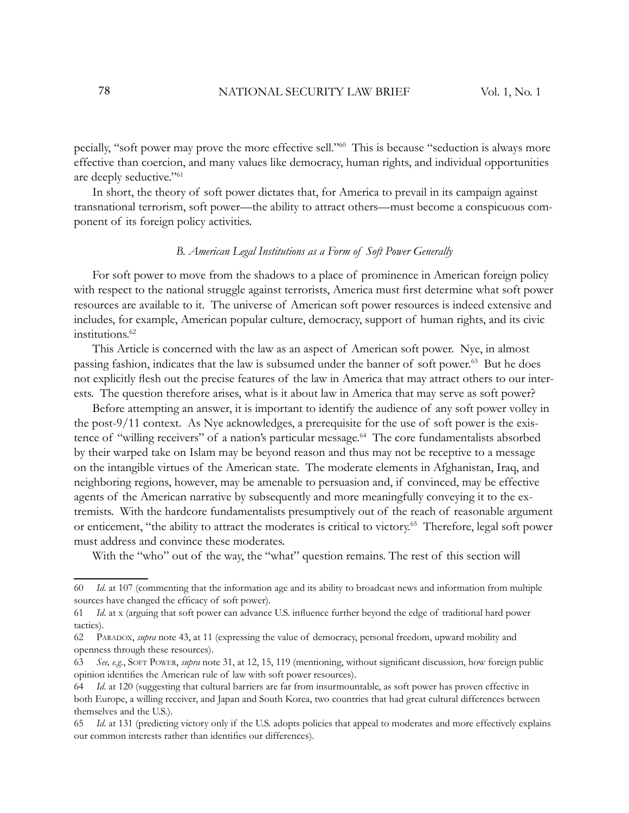pecially, "soft power may prove the more effective sell."<sup>60</sup> This is because "seduction is always more effective than coercion, and many values like democracy, human rights, and individual opportunities are deeply seductive."<sup>61</sup>

In short, the theory of soft power dictates that, for America to prevail in its campaign against transnational terrorism, soft power—the ability to attract others—must become a conspicuous component of its foreign policy activities.

#### *B. American Legal Institutions as a Form of Soft Power Generally*

For soft power to move from the shadows to a place of prominence in American foreign policy with respect to the national struggle against terrorists, America must first determine what soft power resources are available to it. The universe of American soft power resources is indeed extensive and includes, for example, American popular culture, democracy, support of human rights, and its civic institutions.<sup>62</sup>

This Article is concerned with the law as an aspect of American soft power. Nye, in almost passing fashion, indicates that the law is subsumed under the banner of soft power.<sup>63</sup> But he does not explicitly flesh out the precise features of the law in America that may attract others to our interests. The question therefore arises, what is it about law in America that may serve as soft power?

Before attempting an answer, it is important to identify the audience of any soft power volley in the post-9/11 context. As Nye acknowledges, a prerequisite for the use of soft power is the existence of "willing receivers" of a nation's particular message.<sup>64</sup> The core fundamentalists absorbed by their warped take on Islam may be beyond reason and thus may not be receptive to a message on the intangible virtues of the American state. The moderate elements in Afghanistan, Iraq, and neighboring regions, however, may be amenable to persuasion and, if convinced, may be effective agents of the American narrative by subsequently and more meaningfully conveying it to the extremists. With the hardcore fundamentalists presumptively out of the reach of reasonable argument or enticement, "the ability to attract the moderates is critical to victory.<sup>65</sup> Therefore, legal soft power must address and convince these moderates.

With the "who" out of the way, the "what" question remains. The rest of this section will

<sup>60</sup> *Id*. at 107 (commenting that the information age and its ability to broadcast news and information from multiple sources have changed the efficacy of soft power).

<sup>61</sup> *Id.* at x (arguing that soft power can advance U.S. influence further beyond the edge of traditional hard power tactics).

<sup>62</sup> PARADOX, *supra* note 43, at 11 (expressing the value of democracy, personal freedom, upward mobility and openness through these resources).

<sup>63</sup> See, e.g., SOFT POWER, *supra* note 31, at 12, 15, 119 (mentioning, without significant discussion, how foreign public opinion identifies the American rule of law with soft power resources).

<sup>64</sup> *Id*. at 120 (suggesting that cultural barriers are far from insurmountable, as soft power has proven effective in both Europe, a willing receiver, and Japan and South Korea, two countries that had great cultural differences between themselves and the U.S.).

<sup>65</sup> *Id*. at 131 (predicting victory only if the U.S. adopts policies that appeal to moderates and more effectively explains our common interests rather than identifies our differences).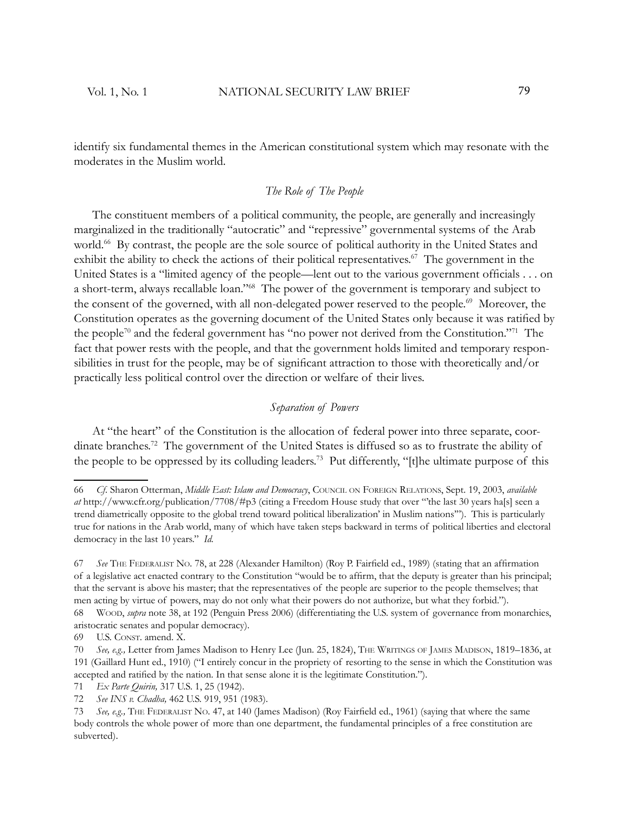identify six fundamental themes in the American constitutional system which may resonate with the moderates in the Muslim world.

## *The Role of The People*

The constituent members of a political community, the people, are generally and increasingly marginalized in the traditionally "autocratic" and "repressive" governmental systems of the Arab world.<sup>66</sup> By contrast, the people are the sole source of political authority in the United States and exhibit the ability to check the actions of their political representatives.<sup> $67$ </sup> The government in the United States is a "limited agency of the people—lent out to the various government officials . . . on a short-term, always recallable loan."<sup>68</sup> The power of the government is temporary and subject to the consent of the governed, with all non-delegated power reserved to the people.<sup>69</sup> Moreover, the Constitution operates as the governing document of the United States only because it was ratified by the people<sup>70</sup> and the federal government has "no power not derived from the Constitution."<sup>71</sup> The fact that power rests with the people, and that the government holds limited and temporary responsibilities in trust for the people, may be of significant attraction to those with theoretically and/or practically less political control over the direction or welfare of their lives.

# *Separation of Powers*

At "the heart" of the Constitution is the allocation of federal power into three separate, coordinate branches.<sup>72</sup> The government of the United States is diffused so as to frustrate the ability of the people to be oppressed by its colluding leaders.<sup>73</sup> Put differently, "[t]he ultimate purpose of this

<sup>66</sup> *Cf.* Sharon Otterman, *Middle East: Islam and Democracy*, COUNCIL ON FOREIGN RELATIONS, Sept. 19, 2003, *available at* http://www.cfr.org/publication/7708/#p3 (citing a Freedom House study that over "'the last 30 years ha[s] seen a trend diametrically opposite to the global trend toward political liberalization' in Muslim nations'"). This is particularly true for nations in the Arab world, many of which have taken steps backward in terms of political liberties and electoral democracy in the last 10 years." *Id.*

<sup>67</sup> See THE FEDERALIST NO. 78, at 228 (Alexander Hamilton) (Roy P. Fairfield ed., 1989) (stating that an affirmation of a legislative act enacted contrary to the Constitution "would be to affirm, that the deputy is greater than his principal; that the servant is above his master; that the representatives of the people are superior to the people themselves; that men acting by virtue of powers, may do not only what their powers do not authorize, but what they forbid.").

<sup>68</sup> WOOD, *supra* note 38, at 192 (Penguin Press 2006) (differentiating the U.S. system of governance from monarchies, aristocratic senates and popular democracy).

<sup>69</sup> U.S. CONST. amend. X.

<sup>70</sup> *See, e.g.,* Letter from James Madison to Henry Lee (Jun. 25, 1824), THE WRITINGS OF JAMES MADISON, 1819–1836, at 191 (Gaillard Hunt ed., 1910) ("I entirely concur in the propriety of resorting to the sense in which the Constitution was accepted and ratified by the nation. In that sense alone it is the legitimate Constitution.").

<sup>71</sup> *Ex Parte Quirin,* 317 U.S. 1, 25 (1942).

<sup>72</sup> *See INS v. Chadha,* 462 U.S. 919, 951 (1983).

<sup>73</sup> See, e.g., THE FEDERALIST NO. 47, at 140 (James Madison) (Roy Fairfield ed., 1961) (saying that where the same body controls the whole power of more than one department, the fundamental principles of a free constitution are subverted).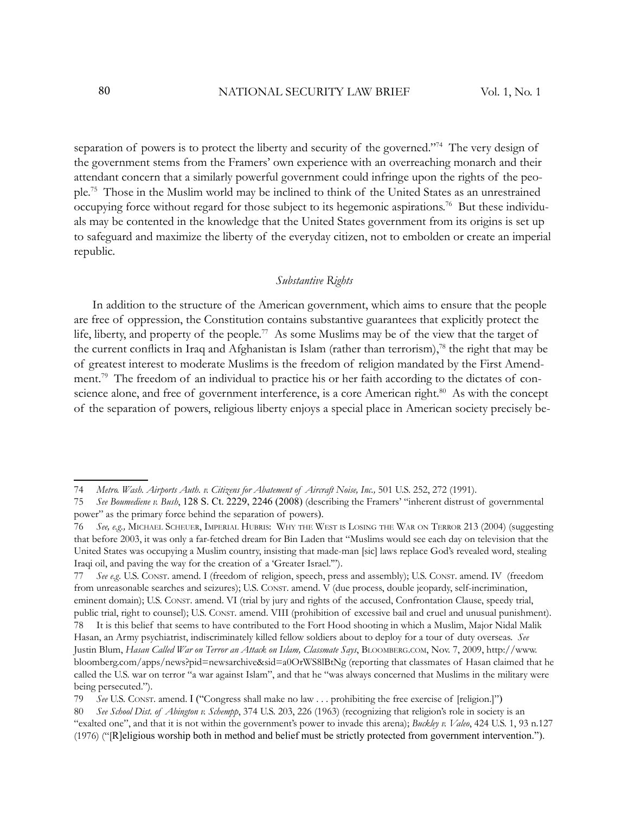separation of powers is to protect the liberty and security of the governed."<sup>74</sup> The very design of the government stems from the Framers' own experience with an overreaching monarch and their attendant concern that a similarly powerful government could infringe upon the rights of the people.<sup>75</sup> Those in the Muslim world may be inclined to think of the United States as an unrestrained occupying force without regard for those subject to its hegemonic aspirations.<sup>76</sup> But these individuals may be contented in the knowledge that the United States government from its origins is set up to safeguard and maximize the liberty of the everyday citizen, not to embolden or create an imperial republic.

#### *Substantive Rights*

In addition to the structure of the American government, which aims to ensure that the people are free of oppression, the Constitution contains substantive guarantees that explicitly protect the life, liberty, and property of the people.<sup>77</sup> As some Muslims may be of the view that the target of the current conflicts in Iraq and Afghanistan is Islam (rather than terrorism),<sup>78</sup> the right that may be of greatest interest to moderate Muslims is the freedom of religion mandated by the First Amendment.<sup>79</sup> The freedom of an individual to practice his or her faith according to the dictates of conscience alone, and free of government interference, is a core American right.<sup>80</sup> As with the concept of the separation of powers, religious liberty enjoys a special place in American society precisely be-

<sup>74</sup> *Metro. Wash. Airports Auth. v. Citizens for Abatement of Aircraft Noise, Inc.,* 501 U.S. 252, 272 (1991).

<sup>75</sup> *See Boumediene v. Bush*, 128 S. Ct. 2229, 2246 (2008) (describing the Framers' "inherent distrust of governmental power" as the primary force behind the separation of powers).

<sup>76</sup> *See, e.g.,* MICHAEL SCHEUER, IMPERIAL HUBRIS: WHY THE WEST IS LOSING THE WAR ON TERROR 213 (2004) (suggesting that before 2003, it was only a far-fetched dream for Bin Laden that "Muslims would see each day on television that the United States was occupying a Muslim country, insisting that made-man [sic] laws replace God's revealed word, stealing Iraqi oil, and paving the way for the creation of a 'Greater Israel.'").

<sup>77</sup> *See e.g.* U.S. CONST. amend. I (freedom of religion, speech, press and assembly); U.S. CONST. amend. IV (freedom from unreasonable searches and seizures); U.S. CONST. amend. V (due process, double jeopardy, self-incrimination, eminent domain); U.S. CONST. amend. VI (trial by jury and rights of the accused, Confrontation Clause, speedy trial, public trial, right to counsel); U.S. CONST. amend. VIII (prohibition of excessive bail and cruel and unusual punishment).

<sup>78</sup> It is this belief that seems to have contributed to the Fort Hood shooting in which a Muslim, Major Nidal Malik Hasan, an Army psychiatrist, indiscriminately killed fellow soldiers about to deploy for a tour of duty overseas. *See* Justin Blum, *Hasan Called War on Terror an Attack on Islam, Classmate Says*, BLOOMBERG.COM, Nov. 7, 2009, http://www. bloomberg.com/apps/news?pid=newsarchive&sid=a0OrWS8lBtNg (reporting that classmates of Hasan claimed that he called the U.S. war on terror "a war against Islam", and that he "was always concerned that Muslims in the military were being persecuted.").

<sup>79</sup> *See* U.S. CONST. amend. I ("Congress shall make no law . . . prohibiting the free exercise of [religion.]")

<sup>80</sup> *See School Dist. of Abington v. Schempp*, 374 U.S. 203, 226 (1963) (recognizing that religion's role in society is an "exalted one", and that it is not within the government's power to invade this arena); *Buckley v. Valeo*, 424 U.S. 1, 93 n.127 (1976) ("[R]eligious worship both in method and belief must be strictly protected from government intervention.").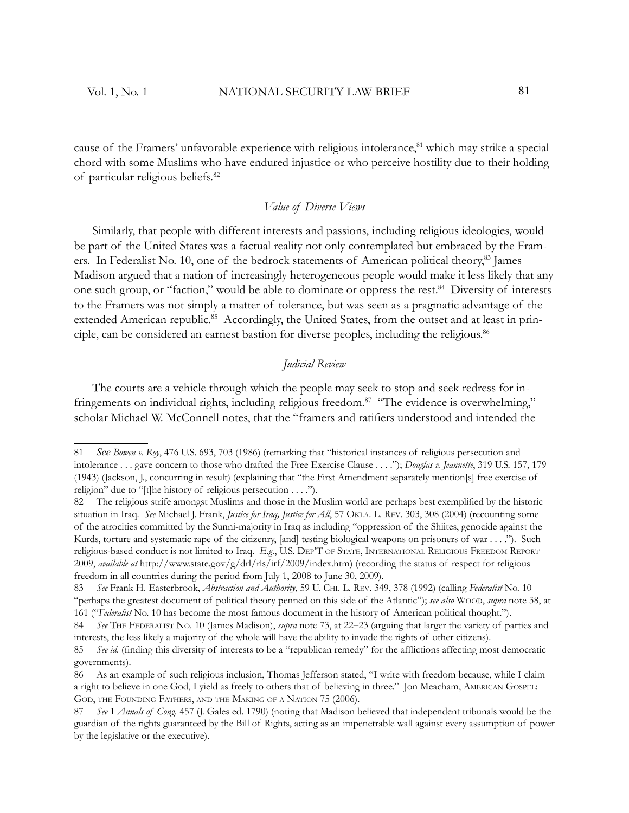cause of the Framers' unfavorable experience with religious intolerance,<sup>81</sup> which may strike a special chord with some Muslims who have endured injustice or who perceive hostility due to their holding of particular religious beliefs.<sup>82</sup>

# *Value of Diverse Views*

Similarly, that people with different interests and passions, including religious ideologies, would be part of the United States was a factual reality not only contemplated but embraced by the Framers. In Federalist No. 10, one of the bedrock statements of American political theory,<sup>83</sup> James Madison argued that a nation of increasingly heterogeneous people would make it less likely that any one such group, or "faction," would be able to dominate or oppress the rest.<sup>84</sup> Diversity of interests to the Framers was not simply a matter of tolerance, but was seen as a pragmatic advantage of the extended American republic.<sup>85</sup> Accordingly, the United States, from the outset and at least in principle, can be considered an earnest bastion for diverse peoples, including the religious.<sup>86</sup>

#### *Judicial Review*

The courts are a vehicle through which the people may seek to stop and seek redress for infringements on individual rights, including religious freedom.<sup>87</sup> "The evidence is overwhelming," scholar Michael W. McConnell notes, that the "framers and ratifiers understood and intended the

<sup>81</sup> *See Bowen v. Roy*, 476 U.S. 693, 703 (1986) (remarking that "historical instances of religious persecution and intolerance . . . gave concern to those who drafted the Free Exercise Clause . . . ."); *Douglas v. Jeannette*, 319 U.S. 157, 179 (1943) (Jackson, J., concurring in result) (explaining that "the First Amendment separately mention[s] free exercise of religion" due to "[t]he history of religious persecution . . . .").

<sup>82</sup> The religious strife amongst Muslims and those in the Muslim world are perhaps best exemplified by the historic situation in Iraq. *See* Michael J. Frank, *Justice for Iraq, Justice for All*, 57 OKLA. L. REV. 303, 308 (2004) (recounting some of the atrocities committed by the Sunni-majority in Iraq as including " oppression of the Shiites, genocide against the Kurds, torture and systematic rape of the citizenry, [and] testing biological weapons on prisoners of war . . . ."). Such religious-based conduct is not limited to Iraq. *E.g.*, U.S. DEP'T OF STATE, INTERNATIONAL RELIGIOUS FREEDOM REPORT 2009, *available at* http://www.state.gov/g/drl/rls/irf/2009/index.htm) (recording the status of respect for religious freedom in all countries during the period from July 1, 2008 to June 30, 2009).

<sup>83</sup> *See* Frank H. Easterbrook, *Abstraction and Authority*, 59 U. CHI. L. REV. 349, 378 (1992) (calling *Federalist* No. 10 "perhaps the greatest document of political theory penned on this side of the Atlantic"); *see also* WOOD, *supra* note 38, at 161 ("*Federalist* No. 10 has become the most famous document in the history of American political thought.").

<sup>84</sup> *See* THE FEDERALIST NO. 10 (James Madison), *supra* note 73, at 22–23 (arguing that larger the variety of parties and interests, the less likely a majority of the whole will have the ability to invade the rights of other citizens).

<sup>85</sup> See id. (finding this diversity of interests to be a "republican remedy" for the afflictions affecting most democratic governments).

<sup>86</sup> As an example of such religious inclusion, Thomas Jefferson stated, "I write with freedom because, while I claim a right to believe in one God, I yield as freely to others that of believing in three." Jon Meacham, AMERICAN GOSPEL: GOD, THE FOUNDING FATHERS, AND THE MAKING OF <sup>A</sup> NATION 75 (2006).

<sup>87</sup> *See* 1 *Annals of Cong.* 457 (J. Gales ed. 1790) (noting that Madison believed that independent tribunals would be the guardian of the rights guaranteed by the Bill of Rights, acting as an impenetrable wall against every assumption of power by the legislative or the executive) .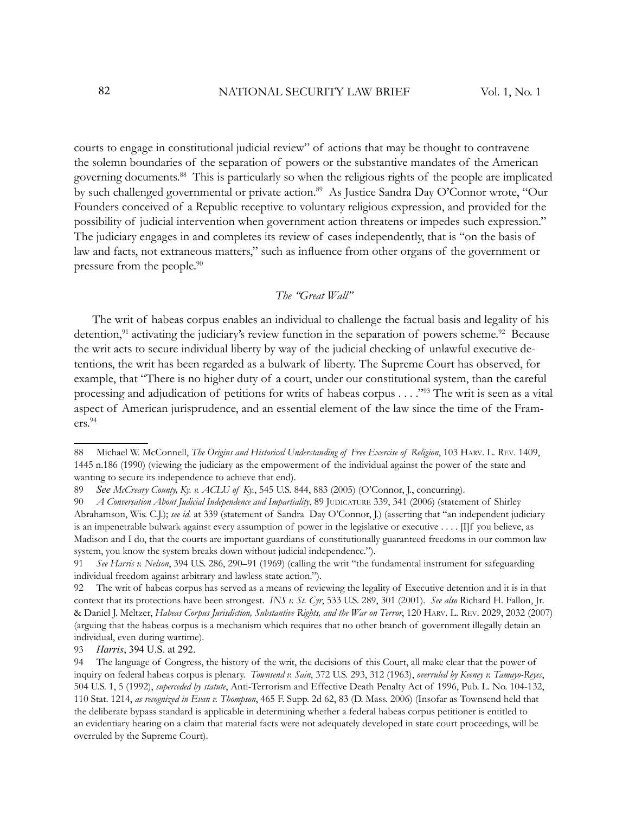courts to engage in constitutional judicial review" of actions that may be thought to contravene the solemn boundaries of the separation of powers or the substantive mandates of the American governing documents.<sup>88</sup> This is particularly so when the religious rights of the people are implicated by such challenged governmental or private action.<sup>89</sup> As Justice Sandra Day O'Connor wrote, "Our Founders conceived of a Republic receptive to voluntary religious expression, and provided for the possibility of judicial intervention when government action threatens or impedes such expression." The judiciary engages in and completes its review of cases independently, that is "on the basis of law and facts, not extraneous matters," such as influence from other organs of the government or pressure from the people.<sup>90</sup>

# *The "Great Wall"*

The writ of habeas corpus enables an individual to challenge the factual basis and legality of his detention,<sup>91</sup> activating the judiciary's review function in the separation of powers scheme.<sup>92</sup> Because the writ acts to secure individual liberty by way of the judicial checking of unlawful executive detentions, the writ has been regarded as a bulwark of liberty. The Supreme Court has observed, for example, that "There is no higher duty of a court, under our constitutional system, than the careful processing and adjudication of petitions for writs of habeas corpus . . . ."<sup>93</sup> The writ is seen as a vital aspect of American jurisprudence, and an essential element of the law since the time of the Framers.<sup>94</sup>

93 *Harris*, 394 U.S. at 292.

<sup>88</sup> Michael W. McConnell, *The Origins and Historical Understanding of Free Exercise of Religion*, 103 HARV. L. REV. 1409, 1445 n.186 (1990) (viewing the judiciary as the empowerment of the individual against the power of the state and wanting to secure its independence to achieve that end).

<sup>89</sup> *See McCreary County, Ky. v. ACLU of Ky.*, 545 U.S. 844, 883 (2005) (O'Connor, J., concurring).

<sup>90</sup> *A Conversation About Judicial Independence and Impartiality*, 89 JUDICATURE 339, 341 (2006) (statement of Shirley Abrahamson, Wis. C.J.); *see id*. at 339 (statement of Sandra Day O'Connor, J.) (asserting that "an independent judiciary is an impenetrable bulwark against every assumption of power in the legislative or executive . . . . [I]f you believe, as Madison and I do, that the courts are important guardians of constitutionally guaranteed freedoms in our common law system, you know the system breaks down without judicial independence.").

<sup>91</sup> *See Harris v. Nelson*, 394 U.S. 286, 290–91 (1969) (calling the writ "the fundamental instrument for safeguarding individual freedom against arbitrary and lawless state action.").

<sup>92</sup> The writ of habeas corpus has served as a means of reviewing the legality of Executive detention and it is in that context that its protections have been strongest. *INS v. St. Cyr*, 533 U.S. 289, 301 (2001). *See also* Richard H. Fallon, Jr. & Daniel J. Meltzer, *Habeas Corpus Jurisdiction, Substantive Rights, and the War on Terror*, 120 HARV. L. REV. 2029, 2032 (2007) (arguing that the habeas corpus is a mechanism which requires that no other branch of government illegally detain an individual, even during wartime).

<sup>94</sup> The language of Congress, the history of the writ, the decisions of this Court, all make clear that the power of inquiry on federal habeas corpus is plenary. *Townsend v. Sain*, 372 U.S. 293, 312 (1963), *overruled by Keeney v. Tamayo-Reyes*, 504 U.S. 1, 5 (1992), *superceded by statute*, Anti-Terrorism and Effective Death Penalty Act of 1996, Pub. L. No. 104-132, 110 Stat. 1214, *as recognized in Evan v. Thompson*, 465 F. Supp. 2d 62, 83 (D. Mass. 2006) (Insofar as Townsend held that the deliberate bypass standard is applicable in determining whether a federal habeas corpus petitioner is entitled to an evidentiary hearing on a claim that material facts were not adequately developed in state court proceedings, will be overruled by the Supreme Court).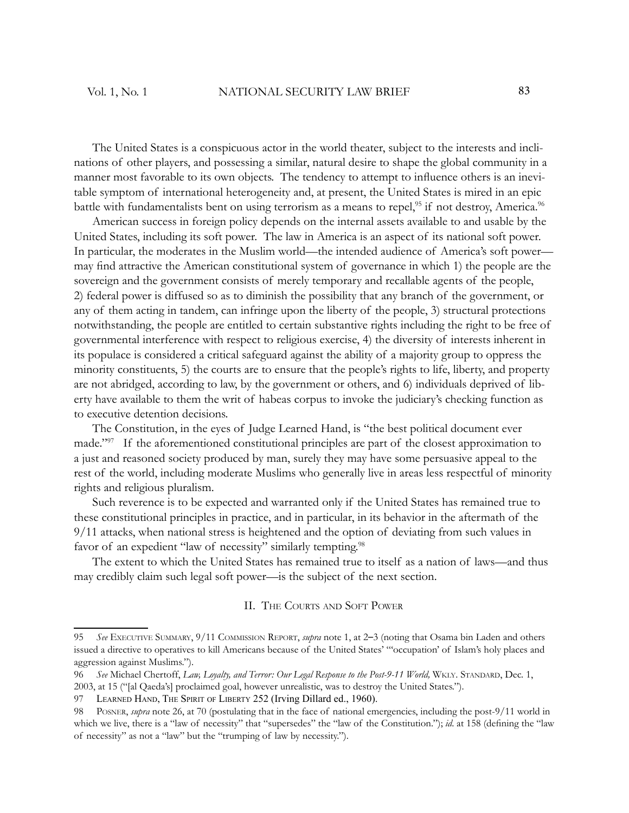The United States is a conspicuous actor in the world theater, subject to the interests and inclinations of other players, and possessing a similar, natural desire to shape the global community in a manner most favorable to its own objects. The tendency to attempt to influence others is an inevitable symptom of international heterogeneity and, at present, the United States is mired in an epic battle with fundamentalists bent on using terrorism as a means to repel,<sup>95</sup> if not destroy, America.<sup>96</sup>

American success in foreign policy depends on the internal assets available to and usable by the United States, including its soft power. The law in America is an aspect of its national soft power. In particular, the moderates in the Muslim world—the intended audience of America's soft power may find attractive the American constitutional system of governance in which 1) the people are the sovereign and the government consists of merely temporary and recallable agents of the people, 2) federal power is diffused so as to diminish the possibility that any branch of the government, or any of them acting in tandem, can infringe upon the liberty of the people, 3) structural protections notwithstanding, the people are entitled to certain substantive rights including the right to be free of governmental interference with respect to religious exercise, 4) the diversity of interests inherent in its populace is considered a critical safeguard against the ability of a majority group to oppress the minority constituents, 5) the courts are to ensure that the people's rights to life, liberty, and property are not abridged, according to law, by the government or others, and 6) individuals deprived of liberty have available to them the writ of habeas corpus to invoke the judiciary's checking function as to executive detention decisions.

The Constitution, in the eyes of Judge Learned Hand, is "the best political document ever made."<sup>97</sup> If the aforementioned constitutional principles are part of the closest approximation to a just and reasoned society produced by man, surely they may have some persuasive appeal to the rest of the world, including moderate Muslims who generally live in areas less respectful of minority rights and religious pluralism.

Such reverence is to be expected and warranted only if the United States has remained true to these constitutional principles in practice, and in particular, in its behavior in the aftermath of the 9/11 attacks, when national stress is heightened and the option of deviating from such values in favor of an expedient "law of necessity" similarly tempting.<sup>98</sup>

The extent to which the United States has remained true to itself as a nation of laws—and thus may credibly claim such legal soft power—is the subject of the next section.

#### II. THE COURTS AND SOFT POWER

<sup>95</sup> *See* EXECUTIVE SUMMARY, 9/11 COMMISSION REPORT, *supra* note 1, at 2–3 (noting that Osama bin Laden and others issued a directive to operatives to kill Americans because of the United States' "'occupation' of Islam's holy places and aggression against Muslims.").

<sup>96</sup> *See* Michael Chertoff, *Law, Loyalty, and Terror: Our Legal Response to the Post-9-11 World,* WKLY. STANDARD, Dec. 1, 2003, at 15 ("[al Qaeda's] proclaimed goal, however unrealistic, was to destroy the United States.").

<sup>97</sup> LEARNED HAND, THE SPIRIT OF LIBERTY 252 (Irving Dillard ed., 1960).

<sup>98</sup> POSNER, *supra* note 26, at 70 (postulating that in the face of national emergencies, including the post-9/11 world in which we live, there is a "law of necessity" that "supersedes" the "law of the Constitution."); *id.* at 158 (defining the "law of necessity" as not a "law" but the "trumping of law by necessity.").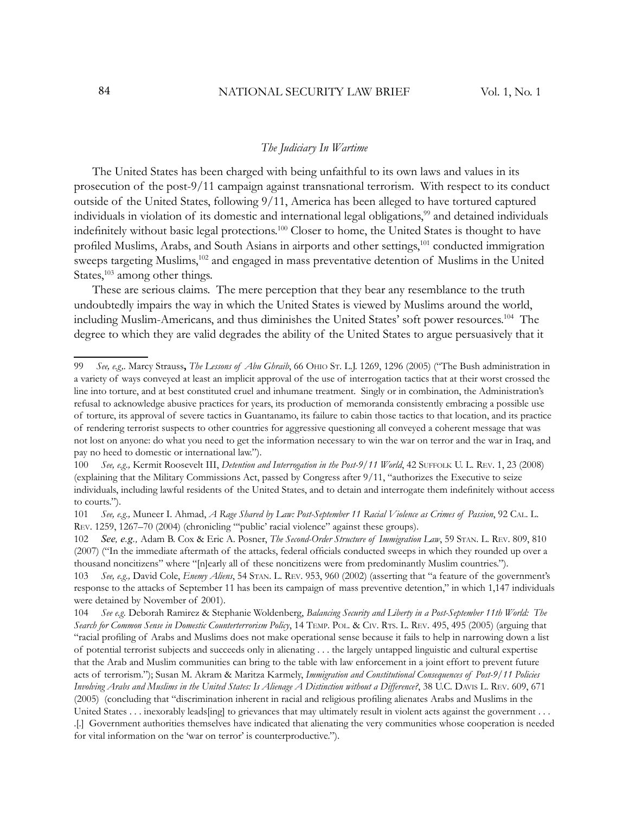#### *The Judiciary In Wartime*

The United States has been charged with being unfaithful to its own laws and values in its prosecution of the post-9/11 campaign against transnational terrorism. With respect to its conduct outside of the United States, following 9/11, America has been alleged to have tortured captured individuals in violation of its domestic and international legal obligations,<sup>99</sup> and detained individuals indefinitely without basic legal protections.<sup>100</sup> Closer to home, the United States is thought to have profiled Muslims, Arabs, and South Asians in airports and other settings,<sup>101</sup> conducted immigration sweeps targeting Muslims,<sup>102</sup> and engaged in mass preventative detention of Muslims in the United States, $103$  among other things.

These are serious claims. The mere perception that they bear any resemblance to the truth undoubtedly impairs the way in which the United States is viewed by Muslims around the world, including Muslim-Americans, and thus diminishes the United States' soft power resources.<sup>104</sup> The degree to which they are valid degrades the ability of the United States to argue persuasively that it

<sup>99</sup> *See, e.g,.* Marcy Strauss**,** *The Lessons of Abu Ghraib*, 66 OHIO ST. L.J. 1269, 1296 (2005) ("The Bush administration in a variety of ways conveyed at least an implicit approval of the use of interrogation tactics that at their worst crossed the line into torture, and at best constituted cruel and inhumane treatment. Singly or in combination, the Administration's refusal to acknowledge abusive practices for years, its production of memoranda consistently embracing a possible use of torture, its approval of severe tactics in Guantanamo, its failure to cabin those tactics to that location, and its practice of rendering terrorist suspects to other countries for aggressive questioning all conveyed a coherent message that was not lost on anyone: do what you need to get the information necessary to win the war on terror and the war in Iraq, and pay no heed to domestic or international law.").

<sup>100</sup> *See, e.g.,* Kermit Roosevelt III, *Detention and Interrogation in the Post-9/11 World*, 42 SUFFOLK U. L. REV. 1, 23 (2008) (explaining that the Military Commissions Act, passed by Congress after 9/11, "authorizes the Executive to seize individuals, including lawful residents of the United States, and to detain and interrogate them indefinitely without access to courts.").

<sup>101</sup> *See, e.g.,* Muneer I. Ahmad, *A Rage Shared by Law: Post-September 11 Racial Violence as Crimes of Passion*, 92 CAL. L. REV. 1259, 1267–70 (2004) (chronicling "'public' racial violence" against these groups).

<sup>102</sup> *See, e.g.,* Adam B. Cox & Eric A. Posner, *The Second-Order Structure of Immigration Law*, 59 STAN. L. REV. 809, 810 (2007) ("In the immediate aftermath of the attacks, federal officials conducted sweeps in which they rounded up over a thousand noncitizens" where "[n]early all of these noncitizens were from predominantly Muslim countries.").

<sup>103</sup> *See, e.g.,* David Cole, *Enemy Aliens*, 54 STAN. L. REV. 953, 960 (2002) (asserting that "a feature of the government's response to the attacks of September 11 has been its campaign of mass preventive detention," in which 1,147 individuals were detained by November of 2001).

<sup>104</sup> *See e.g.* Deborah Ramirez & Stephanie Woldenberg, *Balancing Security and Liberty in a Post-September 11th World: The Search for Common Sense in Domestic Counterterrorism Policy*, 14 TEMP. POL. & CIV. RTS. L. REV. 495, 495 (2005) (arguing that "racial profiling of Arabs and Muslims does not make operational sense because it fails to help in narrowing down a list of potential terrorist subjects and succeeds only in alienating . . . the largely untapped linguistic and cultural expertise that the Arab and Muslim communities can bring to the table with law enforcement in a joint effort to prevent future acts of terrorism."); Susan M. Akram & Maritza Karmely, *Immigration and Constitutional Consequences of Post-9/11 Policies Involving Arabs and Muslims in the United States: Is Alienage A Distinction without a Difference?*, 38 U.C. DAVIS L. REV. 609, 671 (2005) (concluding that "discrimination inherent in racial and religious profiling alienates Arabs and Muslims in the

United States . . . inexorably leads[ing] to grievances that may ultimately result in violent acts against the government . . . .[.] Government authorities themselves have indicated that alienating the very communities whose cooperation is needed for vital information on the 'war on terror' is counterproductive.").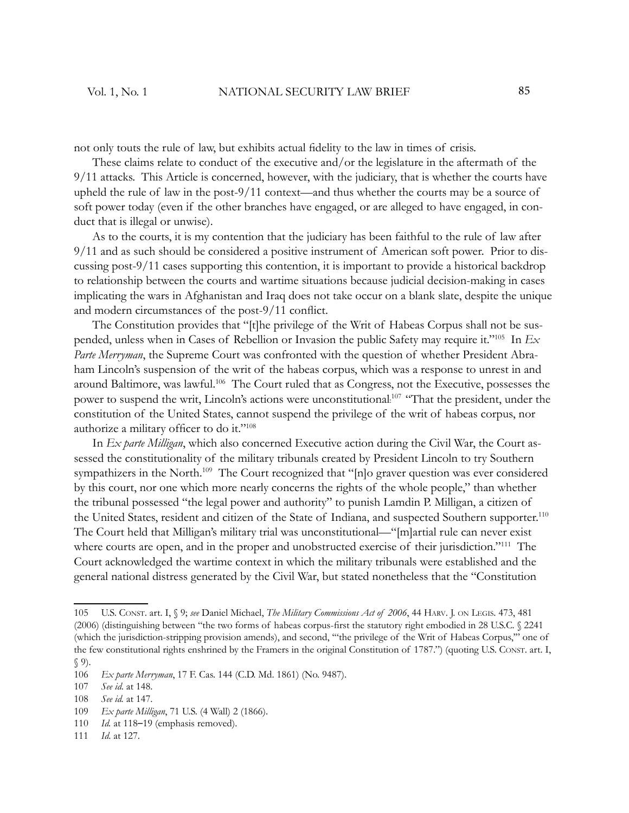not only touts the rule of law, but exhibits actual fidelity to the law in times of crisis.

These claims relate to conduct of the executive and/or the legislature in the aftermath of the 9/11 attacks. This Article is concerned, however, with the judiciary, that is whether the courts have upheld the rule of law in the post-9/11 context—and thus whether the courts may be a source of soft power today (even if the other branches have engaged, or are alleged to have engaged, in conduct that is illegal or unwise).

As to the courts, it is my contention that the judiciary has been faithful to the rule of law after 9/11 and as such should be considered a positive instrument of American soft power. Prior to discussing post-9/11 cases supporting this contention, it is important to provide a historical backdrop to relationship between the courts and wartime situations because judicial decision-making in cases implicating the wars in Afghanistan and Iraq does not take occur on a blank slate, despite the unique and modern circumstances of the post- $9/11$  conflict.

The Constitution provides that "[t]he privilege of the Writ of Habeas Corpus shall not be suspended, unless when in Cases of Rebellion or Invasion the public Safety may require it."<sup>105</sup> In *Ex Parte Merryman*, the Supreme Court was confronted with the question of whether President Abraham Lincoln's suspension of the writ of the habeas corpus, which was a response to unrest in and around Baltimore, was lawful.<sup>106</sup> The Court ruled that as Congress, not the Executive, possesses the power to suspend the writ, Lincoln's actions were unconstitutional:<sup>107</sup> "That the president, under the constitution of the United States, cannot suspend the privilege of the writ of habeas corpus, nor authorize a military officer to do it."<sup>108</sup>

In *Ex parte Milligan*, which also concerned Executive action during the Civil War, the Court assessed the constitutionality of the military tribunals created by President Lincoln to try Southern sympathizers in the North.<sup>109</sup> The Court recognized that "[n]o graver question was ever considered by this court, nor one which more nearly concerns the rights of the whole people," than whether the tribunal possessed "the legal power and authority" to punish Lamdin P. Milligan, a citizen of the United States, resident and citizen of the State of Indiana, and suspected Southern supporter.<sup>110</sup> The Court held that Milligan's military trial was unconstitutional—"[m]artial rule can never exist where courts are open, and in the proper and unobstructed exercise of their jurisdiction."<sup>111</sup> The Court acknowledged the wartime context in which the military tribunals were established and the general national distress generated by the Civil War, but stated nonetheless that the "Constitution

<sup>105</sup> U.S. CONST. art. I, § 9; *see* Daniel Michael, *The Military Commissions Act of 2006*, 44 HARV. J. ON LEGIS. 473, 481 (2006) (distinguishing between "the two forms of habeas corpus-first the statutory right embodied in 28 U.S.C. § 2241 (which the jurisdiction-stripping provision amends), and second, '"the privilege of the Writ of Habeas Corpus,'" one of the few constitutional rights enshrined by the Framers in the original Constitution of 1787.") (quoting U.S. CONST. art. I, § 9).

<sup>106</sup> *Ex parte Merryman*, 17 F. Cas. 144 (C.D. Md. 1861) (No. 9487).

<sup>107</sup> *See id*. at 148.

<sup>108</sup> *See id.* at 147.

<sup>109</sup> *Ex parte Milligan*, 71 U.S. (4 Wall) 2 (1866).

<sup>110</sup> *Id.* at 118–19 (emphasis removed).

<sup>111</sup> *Id*. at 127.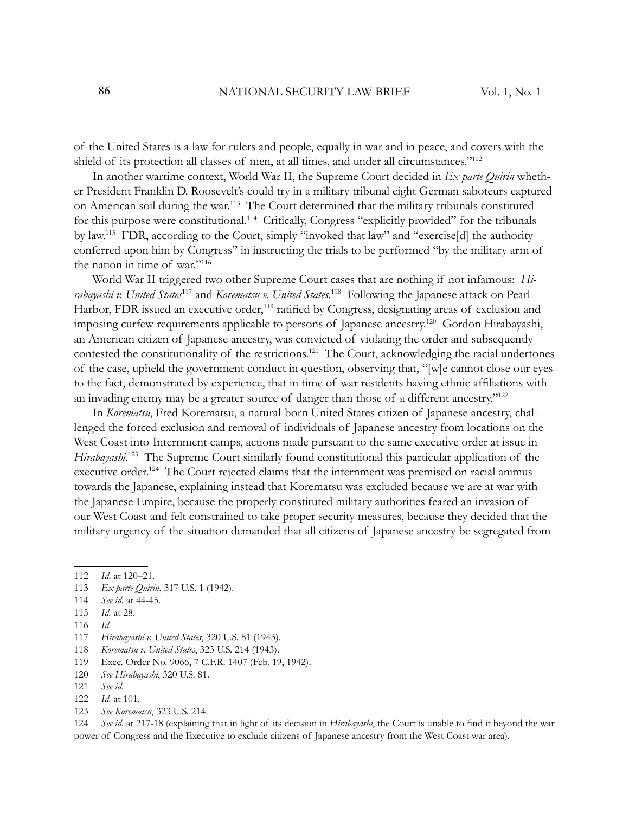of the United States is a law for rulers and people, equally in war and in peace, and covers with the shield of its protection all classes of men, at all times, and under all circumstances."<sup>112</sup>

In another wartime context, World War II, the Supreme Court decided in *Ex parte Quirin* whether President Franklin D. Roosevelt's could try in a military tribunal eight German saboteurs captured on American soil during the war.<sup>113</sup> The Court determined that the military tribunals constituted for this purpose were constitutional.<sup>114</sup> Critically, Congress "explicitly provided" for the tribunals by law.<sup>115</sup> FDR, according to the Court, simply "invoked that law" and "exercise[d] the authority conferred upon him by Congress" in instructing the trials to be performed "by the military arm of the nation in time of war."<sup>116</sup>

World War II triggered two other Supreme Court cases that are nothing if not infamous: *Hirabayashi v. United States*<sup>117</sup> and *Korematsu v. United States*. <sup>118</sup> Following the Japanese attack on Pearl Harbor, FDR issued an executive order,<sup>119</sup> ratified by Congress, designating areas of exclusion and imposing curfew requirements applicable to persons of Japanese ancestry.<sup>120</sup> Gordon Hirabayashi, an American citizen of Japanese ancestry, was convicted of violating the order and subsequently contested the constitutionality of the restrictions.<sup>121</sup> The Court, acknowledging the racial undertones of the case, upheld the government conduct in question, observing that, "[w]e cannot close our eyes to the fact, demonstrated by experience, that in time of war residents having ethnic affiliations with an invading enemy may be a greater source of danger than those of a different ancestry."<sup>122</sup>

In *Korematsu*, Fred Korematsu, a natural-born United States citizen of Japanese ancestry, challenged the forced exclusion and removal of individuals of Japanese ancestry from locations on the West Coast into Internment camps, actions made pursuant to the same executive order at issue in Hirabayashi.<sup>123</sup> The Supreme Court similarly found constitutional this particular application of the executive order.<sup>124</sup> The Court rejected claims that the internment was premised on racial animus towards the Japanese, explaining instead that Korematsu was excluded because we are at war with the Japanese Empire, because the properly constituted military authorities feared an invasion of our West Coast and felt constrained to take proper security measures, because they decided that the military urgency of the situation demanded that all citizens of Japanese ancestry be segregated from

- 116 *Id*.
- 117 *Hirabayashi v. United States*, 320 U.S. 81 (1943).
- 118 *Korematsu v. United States*, 323 U.S. 214 (1943).
- 119 Exec. Order No. 9066, 7 C.F.R. 1407 (Feb. 19, 1942).
- 120 *See Hirabayashi*, 320 U.S. 81.
- 121 *See id*.
- 122 *Id*. at 101.
- 123 *See Korematsu*, 323 U.S. 214.

124 *See id.* at 217-18 (explaining that in light of its decision in *Hirabayashi*, the Court is unable to find it beyond the war power of Congress and the Executive to exclude citizens of Japanese ancestry from the West Coast war area).

<sup>112</sup> *Id*. at 120–21.

<sup>113</sup> *Ex parte Quirin*, 317 U.S. 1 (1942).

<sup>114</sup> *See id*. at 44-45.

<sup>115</sup> *Id*. at 28.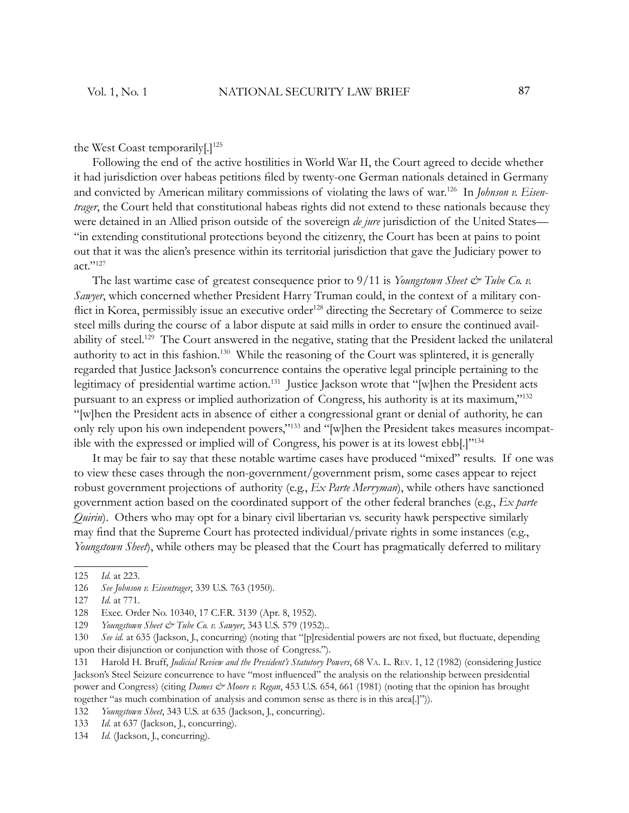the West Coast temporarily[.]<sup>125</sup>

Following the end of the active hostilities in World War II, the Court agreed to decide whether it had jurisdiction over habeas petitions filed by twenty-one German nationals detained in Germany and convicted by American military commissions of violating the laws of war.126 In *Johnson v. Eisentrager*, the Court held that constitutional habeas rights did not extend to these nationals because they were detained in an Allied prison outside of the sovereign *de jure* jurisdiction of the United States— "in extending constitutional protections beyond the citizenry, the Court has been at pains to point out that it was the alien's presence within its territorial jurisdiction that gave the Judiciary power to act."<sup>127</sup>

The last wartime case of greatest consequence prior to  $9/11$  is *Youngstown Sheet*  $\mathcal{O}$  *Tube Co. v. Sawyer*, which concerned whether President Harry Truman could, in the context of a military conflict in Korea, permissibly issue an executive order<sup>128</sup> directing the Secretary of Commerce to seize steel mills during the course of a labor dispute at said mills in order to ensure the continued availability of steel.<sup>129</sup> The Court answered in the negative, stating that the President lacked the unilateral authority to act in this fashion.<sup>130</sup> While the reasoning of the Court was splintered, it is generally regarded that Justice Jackson's concurrence contains the operative legal principle pertaining to the legitimacy of presidential wartime action.<sup>131</sup> Justice Jackson wrote that "[w]hen the President acts pursuant to an express or implied authorization of Congress, his authority is at its maximum,"<sup>132</sup> "[w]hen the President acts in absence of either a congressional grant or denial of authority, he can only rely upon his own independent powers,"133 and "[w]hen the President takes measures incompatible with the expressed or implied will of Congress, his power is at its lowest ebb[.]"<sup>134</sup>

It may be fair to say that these notable wartime cases have produced "mixed" results. If one was to view these cases through the non-government/government prism, some cases appear to reject robust government projections of authority (e.g., *Ex Parte Merryman*), while others have sanctioned government action based on the coordinated support of the other federal branches (e.g., *Ex parte Quirin*). Others who may opt for a binary civil libertarian vs. security hawk perspective similarly may find that the Supreme Court has protected individual/private rights in some instances (e.g., *Youngstown Sheet*), while others may be pleased that the Court has pragmatically deferred to military

<sup>125</sup> *Id*. at 223.

<sup>126</sup> *See Johnson v. Eisentrager*, 339 U.S. 763 (1950).

<sup>127</sup> *Id*. at 771.

<sup>128</sup> Exec. Order No. 10340, 17 C.F.R. 3139 (Apr. 8, 1952).

<sup>129</sup> *Youngstown Sheet & Tube Co. v. Sawyer*, 343 U.S. 579 (1952)..

<sup>130</sup> See id. at 635 (Jackson, J., concurring) (noting that "[p]residential powers are not fixed, but fluctuate, depending upon their disjunction or conjunction with those of Congress.").

<sup>131</sup> Harold H. Bruff, *Judicial Review and the President's Statutory Powers*, 68 VA. L. REV. 1, 12 (1982) (considering Justice Jackson's Steel Seizure concurrence to have "most influenced" the analysis on the relationship between presidential power and Congress) (citing *Dames & Moore v. Regan*, 453 U.S. 654, 661 (1981) (noting that the opinion has brought together "as much combination of analysis and common sense as there is in this area[.]")).

<sup>132</sup> *Youngstown Sheet*, 343 U.S. at 635 (Jackson, J., concurring).

<sup>133</sup> *Id*. at 637 (Jackson, J., concurring).

<sup>134</sup> *Id*. (Jackson, J., concurring).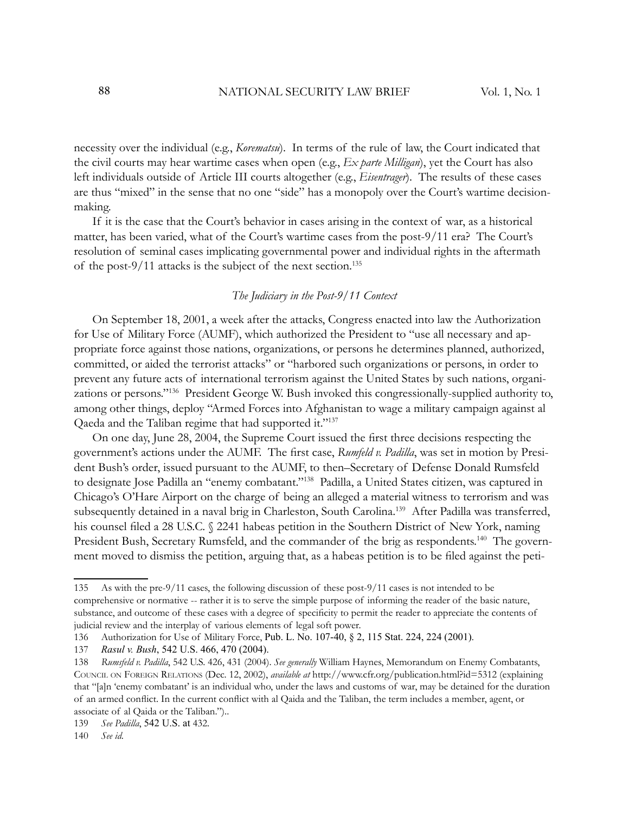necessity over the individual (e.g., *Korematsu*). In terms of the rule of law, the Court indicated that the civil courts may hear wartime cases when open (e.g., *Ex parte Milligan*), yet the Court has also left individuals outside of Article III courts altogether (e.g., *Eisentrager*). The results of these cases are thus "mixed" in the sense that no one "side" has a monopoly over the Court's wartime decisionmaking.

If it is the case that the Court's behavior in cases arising in the context of war, as a historical matter, has been varied, what of the Court's wartime cases from the post-9/11 era? The Court's resolution of seminal cases implicating governmental power and individual rights in the aftermath of the post-9/11 attacks is the subject of the next section.<sup>135</sup>

# *The Judiciary in the Post-9/11 Context*

On September 18, 2001, a week after the attacks, Congress enacted into law the Authorization for Use of Military Force (AUMF), which authorized the President to "use all necessary and appropriate force against those nations, organizations, or persons he determines planned, authorized, committed, or aided the terrorist attacks" or "harbored such organizations or persons, in order to prevent any future acts of international terrorism against the United States by such nations, organizations or persons."<sup>136</sup> President George W. Bush invoked this congressionally-supplied authority to, among other things, deploy "Armed Forces into Afghanistan to wage a military campaign against al Qaeda and the Taliban regime that had supported it."<sup>137</sup>

On one day, June 28, 2004, the Supreme Court issued the first three decisions respecting the government's actions under the AUMF. The first case, *Rumfeld v. Padilla*, was set in motion by President Bush's order, issued pursuant to the AUMF, to then–Secretary of Defense Donald Rumsfeld to designate Jose Padilla an "enemy combatant."<sup>138</sup> Padilla, a United States citizen, was captured in Chicago's O'Hare Airport on the charge of being an alleged a material witness to terrorism and was subsequently detained in a naval brig in Charleston, South Carolina.<sup>139</sup> After Padilla was transferred, his counsel filed a 28 U.S.C. § 2241 habeas petition in the Southern District of New York, naming President Bush, Secretary Rumsfeld, and the commander of the brig as respondents.<sup>140</sup> The government moved to dismiss the petition, arguing that, as a habeas petition is to be filed against the peti-

<sup>135</sup> As with the pre-9/11 cases, the following discussion of these post-9/11 cases is not intended to be comprehensive or normative -- rather it is to serve the simple purpose of informing the reader of the basic nature, substance, and outcome of these cases with a degree of specificity to permit the reader to appreciate the contents of judicial review and the interplay of various elements of legal soft power.

<sup>136</sup> Authorization for Use of Military Force, Pub. L. No. 107-40, § 2, 115 Stat. 224, 224 (2001).

<sup>137</sup> *Rasul v. Bush*, 542 U.S. 466, 470 (2004).

<sup>138</sup> *Rumsfeld v. Padilla*, 542 U.S. 426, 431 (2004). *See generally* William Haynes, Memorandum on Enemy Combatants, COUNCIL ON FOREIGN RELATIONS (Dec. 12, 2002), *available at* http://www.cfr.org/publication.html?id=5312 (explaining that "[a]n 'enemy combatant' is an individual who, under the laws and customs of war, may be detained for the duration of an armed conflict. In the current conflict with al Qaida and the Taliban, the term includes a member, agent, or associate of al Qaida or the Taliban.")..

<sup>139</sup> *See Padilla*, 542 U.S. at 432.

<sup>140</sup> *See id*.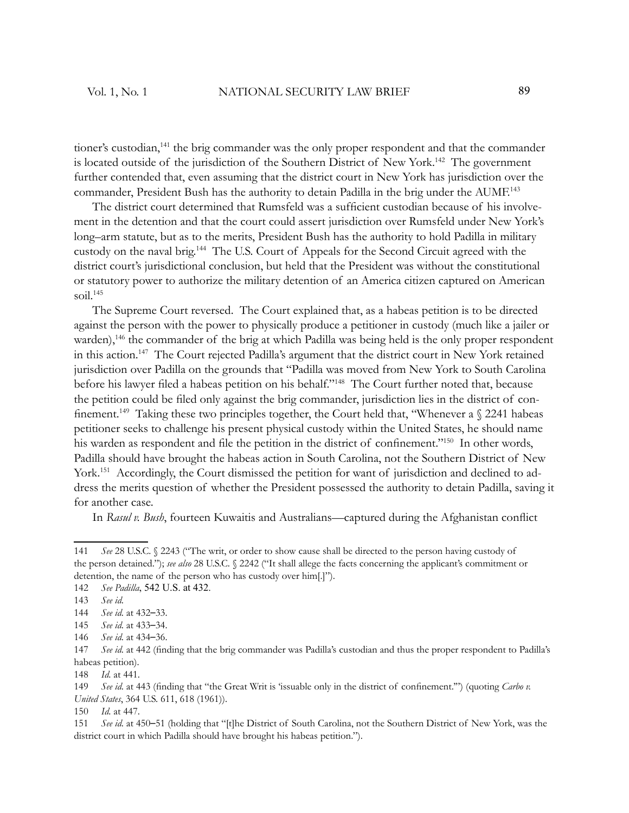tioner's custodian,<sup>141</sup> the brig commander was the only proper respondent and that the commander is located outside of the jurisdiction of the Southern District of New York.<sup>142</sup> The government further contended that, even assuming that the district court in New York has jurisdiction over the commander, President Bush has the authority to detain Padilla in the brig under the AUMF.<sup>143</sup>

The district court determined that Rumsfeld was a sufficient custodian because of his involvement in the detention and that the court could assert jurisdiction over Rumsfeld under New York's long–arm statute, but as to the merits, President Bush has the authority to hold Padilla in military custody on the naval brig.<sup>144</sup> The U.S. Court of Appeals for the Second Circuit agreed with the district court's jurisdictional conclusion, but held that the President was without the constitutional or statutory power to authorize the military detention of an America citizen captured on American soil. $145$ 

The Supreme Court reversed. The Court explained that, as a habeas petition is to be directed against the person with the power to physically produce a petitioner in custody (much like a jailer or warden),<sup>146</sup> the commander of the brig at which Padilla was being held is the only proper respondent in this action.<sup>147</sup> The Court rejected Padilla's argument that the district court in New York retained jurisdiction over Padilla on the grounds that "Padilla was moved from New York to South Carolina before his lawyer filed a habeas petition on his behalf."<sup>148</sup> The Court further noted that, because the petition could be filed only against the brig commander, jurisdiction lies in the district of confinement.<sup>149</sup> Taking these two principles together, the Court held that, "Whenever a  $\S$  2241 habeas petitioner seeks to challenge his present physical custody within the United States, he should name his warden as respondent and file the petition in the district of confinement."<sup>150</sup> In other words, Padilla should have brought the habeas action in South Carolina, not the Southern District of New York.<sup>151</sup> Accordingly, the Court dismissed the petition for want of jurisdiction and declined to address the merits question of whether the President possessed the authority to detain Padilla, saving it for another case.

In *Rasul v. Bush*, fourteen Kuwaitis and Australians—captured during the Afghanistan conflict

150 *Id*. at 447.

<sup>141</sup> *See* 28 U.S.C. § 2243 ("The writ, or order to show cause shall be directed to the person having custody of the person detained."); *see also* 28 U.S.C. § 2242 ("It shall allege the facts concerning the applicant's commitment or detention, the name of the person who has custody over him[.]").

<sup>142</sup> *See Padilla*, 542 U.S. at 432.

<sup>143</sup> *See id*.

<sup>144</sup> *See id*. at 432–33.

<sup>145</sup> *See id*. at 433–34.

<sup>146</sup> *See id*. at 434–36.

<sup>147</sup> *See id.* at 442 (finding that the brig commander was Padilla's custodian and thus the proper respondent to Padilla's habeas petition).

<sup>148</sup> *Id*. at 441.

<sup>149</sup> *See id.* at 443 (finding that "the Great Writ is 'issuable only in the district of confinement.") (quoting *Carbo v. United States*, 364 U.S. 611, 618 (1961)).

<sup>151</sup> *See id*. at 450–51 (holding that "[t]he District of South Carolina, not the Southern District of New York, was the district court in which Padilla should have brought his habeas petition.").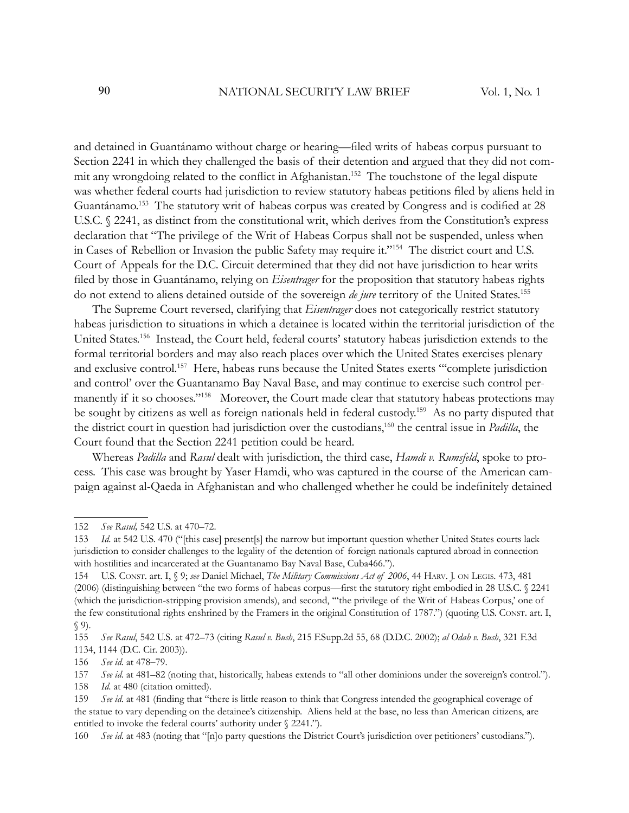and detained in Guantánamo without charge or hearing—filed writs of habeas corpus pursuant to Section 2241 in which they challenged the basis of their detention and argued that they did not commit any wrongdoing related to the conflict in Afghanistan.<sup>152</sup> The touchstone of the legal dispute was whether federal courts had jurisdiction to review statutory habeas petitions filed by aliens held in Guantánamo.<sup>153</sup> The statutory writ of habeas corpus was created by Congress and is codified at 28 U.S.C. § 2241, as distinct from the constitutional writ, which derives from the Constitution's express declaration that "The privilege of the Writ of Habeas Corpus shall not be suspended, unless when in Cases of Rebellion or Invasion the public Safety may require it."<sup>154</sup> The district court and U.S. Court of Appeals for the D.C. Circuit determined that they did not have jurisdiction to hear writs filed by those in Guantánamo, relying on *Eisentrager* for the proposition that statutory habeas rights do not extend to aliens detained outside of the sovereign *de jure* territory of the United States.<sup>155</sup>

The Supreme Court reversed, clarifying that *Eisentrager* does not categorically restrict statutory habeas jurisdiction to situations in which a detainee is located within the territorial jurisdiction of the United States.<sup>156</sup> Instead, the Court held, federal courts' statutory habeas jurisdiction extends to the formal territorial borders and may also reach places over which the United States exercises plenary and exclusive control.<sup>157</sup> Here, habeas runs because the United States exerts "complete jurisdiction and control' over the Guantanamo Bay Naval Base, and may continue to exercise such control permanently if it so chooses."<sup>158</sup> Moreover, the Court made clear that statutory habeas protections may be sought by citizens as well as foreign nationals held in federal custody.<sup>159</sup> As no party disputed that the district court in question had jurisdiction over the custodians,<sup>160</sup> the central issue in *Padilla*, the Court found that the Section 2241 petition could be heard.

Whereas *Padilla* and *Rasul* dealt with jurisdiction, the third case, *Hamdi v. Rumsfeld*, spoke to process. This case was brought by Yaser Hamdi, who was captured in the course of the American campaign against al-Qaeda in Afghanistan and who challenged whether he could be indefinitely detained

158 *Id*. at 480 (citation omitted).

<sup>152</sup> *See Rasul,* 542 U.S. at 470–72.

<sup>153</sup> *Id*. at 542 U.S. 470 ("[this case] present[s] the narrow but important question whether United States courts lack jurisdiction to consider challenges to the legality of the detention of foreign nationals captured abroad in connection with hostilities and incarcerated at the Guantanamo Bay Naval Base, Cuba466.").

<sup>154</sup> U.S. CONST. art. I, § 9; *see* Daniel Michael, *The Military Commissions Act of 2006*, 44 HARV. J. ON LEGIS. 473, 481 (2006) (distinguishing between "the two forms of habeas corpus—first the statutory right embodied in 28 U.S.C. § 2241 (which the jurisdiction-stripping provision amends), and second, '"the privilege of the Writ of Habeas Corpus,' one of the few constitutional rights enshrined by the Framers in the original Constitution of 1787.") (quoting U.S. CONST. art. I, § 9).

<sup>155</sup> *See Rasul*, 542 U.S*.* at 472–73 (citing *Rasul v. Bush*, 215 F.Supp.2d 55, 68 (D.D.C. 2002); *al Odah v. Bush*, 321 F.3d 1134, 1144 (D.C. Cir. 2003)).

<sup>156</sup> *See id*. at 478–79.

<sup>157</sup> *See id*. at 481–82 (noting that, historically, habeas extends to "all other dominions under the sovereign's control.").

<sup>159</sup> *See id.* at 481 (finding that "there is little reason to think that Congress intended the geographical coverage of the statue to vary depending on the detainee's citizenship. Aliens held at the base, no less than American citizens, are entitled to invoke the federal courts' authority under § 2241.").

<sup>160</sup> *See id*. at 483 (noting that "[n]o party questions the District Court's jurisdiction over petitioners' custodians.").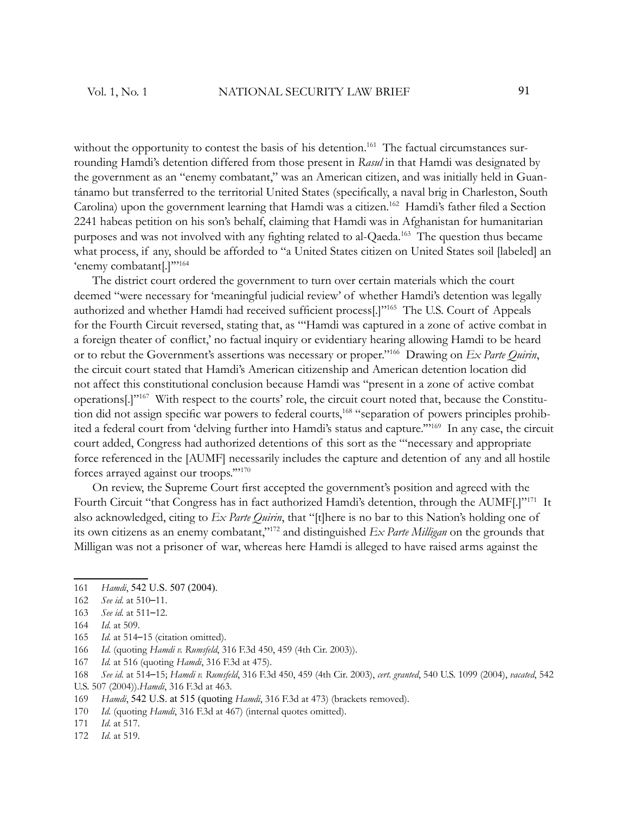without the opportunity to contest the basis of his detention.<sup>161</sup> The factual circumstances surrounding Hamdi's detention differed from those present in *Rasul* in that Hamdi was designated by the government as an "enemy combatant," was an American citizen, and was initially held in Guantánamo but transferred to the territorial United States (specifically, a naval brig in Charleston, South Carolina) upon the government learning that Hamdi was a citizen.<sup>162</sup> Hamdi's father filed a Section 2241 habeas petition on his son's behalf, claiming that Hamdi was in Afghanistan for humanitarian purposes and was not involved with any fighting related to al-Qaeda.<sup>163</sup> The question thus became what process, if any, should be afforded to "a United States citizen on United States soil [labeled] an 'enemy combatant[.]"<sup>"164</sup>

The district court ordered the government to turn over certain materials which the court deemed "were necessary for 'meaningful judicial review' of whether Hamdi's detention was legally authorized and whether Hamdi had received sufficient process<sup>[.]"165</sup> The U.S. Court of Appeals for the Fourth Circuit reversed, stating that, as "'Hamdi was captured in a zone of active combat in a foreign theater of conflict,' no factual inquiry or evidentiary hearing allowing Hamdi to be heard or to rebut the Government's assertions was necessary or proper."<sup>166</sup> Drawing on *Ex Parte Quirin*, the circuit court stated that Hamdi's American citizenship and American detention location did not affect this constitutional conclusion because Hamdi was "present in a zone of active combat operations[.]"167 With respect to the courts' role, the circuit court noted that, because the Constitution did not assign specific war powers to federal courts,<sup>168</sup> "separation of powers principles prohibited a federal court from 'delving further into Hamdi's status and capture.'"<sup>169</sup> In any case, the circuit court added, Congress had authorized detentions of this sort as the "'necessary and appropriate force referenced in the [AUMF] necessarily includes the capture and detention of any and all hostile forces arrayed against our troops.'"<sup>170</sup>

On review, the Supreme Court first accepted the government's position and agreed with the Fourth Circuit "that Congress has in fact authorized Hamdi's detention, through the AUMF[.]"<sup>171</sup> It also acknowledged, citing to *Ex Parte Quirin*, that "[t]here is no bar to this Nation's holding one of its own citizens as an enemy combatant,"<sup>172</sup> and distinguished *Ex Parte Milligan* on the grounds that Milligan was not a prisoner of war, whereas here Hamdi is alleged to have raised arms against the

- 164 *Id*. at 509.
- 165 *Id*. at 514–15 (citation omitted).
- 166 *Id*. (quoting *Hamdi v. Rumsfeld*, 316 F.3d 450, 459 (4th Cir. 2003)).
- 167 *Id.* at 516 (quoting *Hamdi*, 316 F.3d at 475).
- 168 *See id*. at 514–15; *Hamdi v. Rumsfeld*, 316 F.3d 450, 459 (4th Cir. 2003), *cert. granted*, 540 U.S. 1099 (2004), *vacated*, 542 U.S. 507 (2004)).*Hamdi*, 316 F.3d at 463.
- 169 *Hamdi*, 542 U.S. at 515 (quoting *Hamdi*, 316 F.3d at 473) (brackets removed).
- 170 *Id*. (quoting *Hamdi*, 316 F.3d at 467) (internal quotes omitted).
- 171 *Id*. at 517.
- 172 *Id*. at 519.

<sup>161</sup> *Hamdi*, 542 U.S. 507 (2004).

<sup>162</sup> *See id*. at 510–11.

<sup>163</sup> *See id*. at 511–12.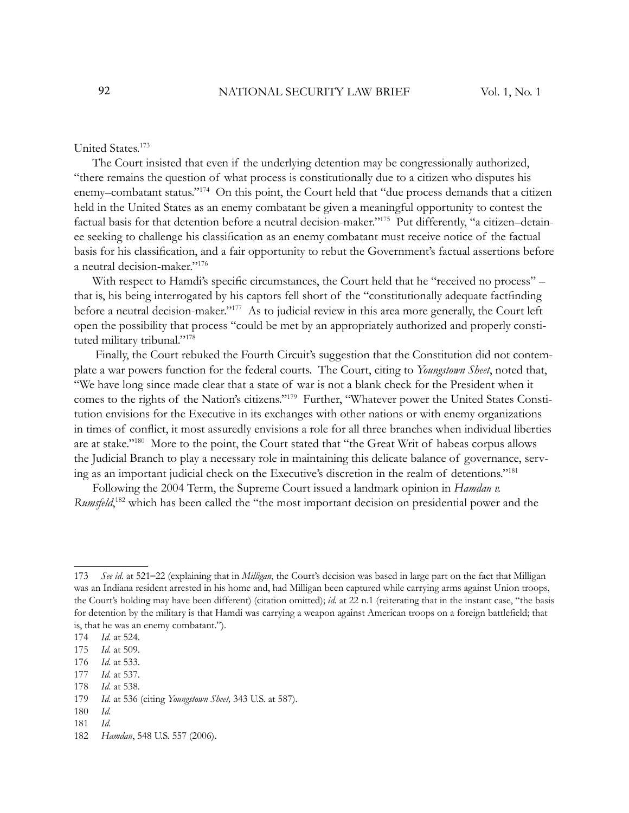# United States.<sup>173</sup>

The Court insisted that even if the underlying detention may be congressionally authorized, "there remains the question of what process is constitutionally due to a citizen who disputes his enemy–combatant status."<sup>174</sup> On this point, the Court held that "due process demands that a citizen held in the United States as an enemy combatant be given a meaningful opportunity to contest the factual basis for that detention before a neutral decision-maker."175 Put differently, "a citizen–detainee seeking to challenge his classification as an enemy combatant must receive notice of the factual basis for his classification, and a fair opportunity to rebut the Government's factual assertions before a neutral decision-maker."<sup>176</sup>

With respect to Hamdi's specific circumstances, the Court held that he "received no process" – that is, his being interrogated by his captors fell short of the "constitutionally adequate factfinding before a neutral decision-maker."<sup>177</sup> As to judicial review in this area more generally, the Court left open the possibility that process "could be met by an appropriately authorized and properly constituted military tribunal."<sup>178</sup>

 Finally, the Court rebuked the Fourth Circuit's suggestion that the Constitution did not contemplate a war powers function for the federal courts. The Court, citing to *Youngstown Sheet*, noted that, "We have long since made clear that a state of war is not a blank check for the President when it comes to the rights of the Nation's citizens."179 Further, "Whatever power the United States Constitution envisions for the Executive in its exchanges with other nations or with enemy organizations in times of conflict, it most assuredly envisions a role for all three branches when individual liberties are at stake."<sup>180</sup> More to the point, the Court stated that "the Great Writ of habeas corpus allows the Judicial Branch to play a necessary role in maintaining this delicate balance of governance, serving as an important judicial check on the Executive's discretion in the realm of detentions."<sup>181</sup>

Following the 2004 Term, the Supreme Court issued a landmark opinion in *Hamdan v.*  Rumsfeld,<sup>182</sup> which has been called the "the most important decision on presidential power and the

<sup>173</sup> *See id*. at 521–22 (explaining that in *Milligan*, the Court's decision was based in large part on the fact that Milligan was an Indiana resident arrested in his home and, had Milligan been captured while carrying arms against Union troops, the Court's holding may have been different) (citation omitted); *id*. at 22 n.1 (reiterating that in the instant case, "the basis for detention by the military is that Hamdi was carrying a weapon against American troops on a foreign battlefield; that is, that he was an enemy combatant.").

<sup>174</sup> *Id*. at 524.

<sup>175</sup> *Id*. at 509.

<sup>176</sup> *Id*. at 533.

<sup>177</sup> *Id*. at 537.

<sup>178</sup> *Id*. at 538.

<sup>179</sup> *Id*. at 536 (citing *Youngstown Sheet,* 343 U.S. at 587).

<sup>180</sup> *Id*.

<sup>181</sup> *Id*.

<sup>182</sup> *Hamdan*, 548 U.S. 557 (2006).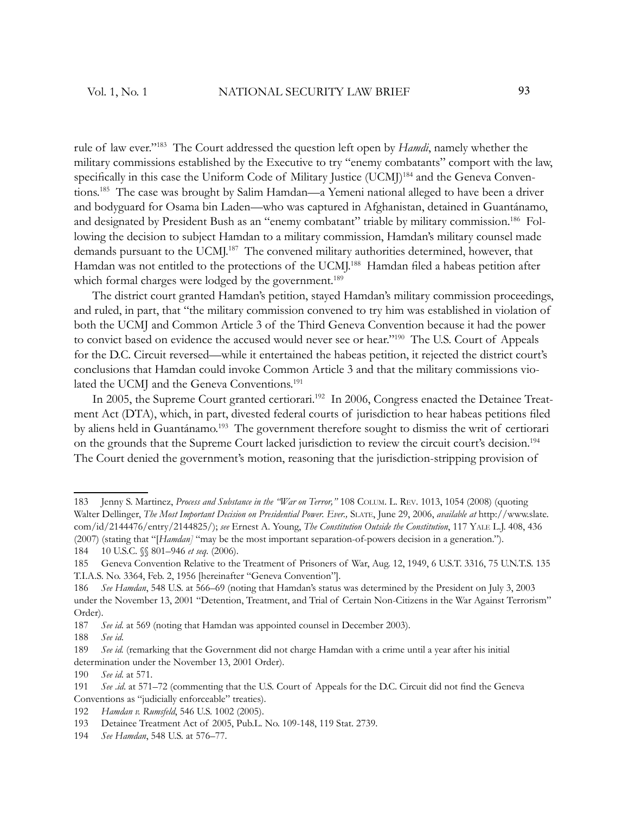rule of law ever."<sup>183</sup> The Court addressed the question left open by *Hamdi*, namely whether the military commissions established by the Executive to try "enemy combatants" comport with the law, specifically in this case the Uniform Code of Military Justice (UCMJ)<sup>184</sup> and the Geneva Conventions.<sup>185</sup> The case was brought by Salim Hamdan—a Yemeni national alleged to have been a driver and bodyguard for Osama bin Laden—who was captured in Afghanistan, detained in Guantánamo, and designated by President Bush as an "enemy combatant" triable by military commission.<sup>186</sup> Following the decision to subject Hamdan to a military commission, Hamdan's military counsel made demands pursuant to the UCMJ.<sup>187</sup> The convened military authorities determined, however, that Hamdan was not entitled to the protections of the UCMI.<sup>188</sup> Hamdan filed a habeas petition after which formal charges were lodged by the government.<sup>189</sup>

The district court granted Hamdan's petition, stayed Hamdan's military commission proceedings, and ruled, in part, that "the military commission convened to try him was established in violation of both the UCMJ and Common Article 3 of the Third Geneva Convention because it had the power to convict based on evidence the accused would never see or hear."<sup>190</sup> The U.S. Court of Appeals for the D.C. Circuit reversed—while it entertained the habeas petition, it rejected the district court's conclusions that Hamdan could invoke Common Article 3 and that the military commissions violated the UCMJ and the Geneva Conventions.<sup>191</sup>

In 2005, the Supreme Court granted certiorari.<sup>192</sup> In 2006, Congress enacted the Detainee Treatment Act (DTA), which, in part, divested federal courts of jurisdiction to hear habeas petitions filed by aliens held in Guantánamo.<sup>193</sup> The government therefore sought to dismiss the writ of certiorari on the grounds that the Supreme Court lacked jurisdiction to review the circuit court's decision.<sup>194</sup> The Court denied the government's motion, reasoning that the jurisdiction-stripping provision of

187 *See id*. at 569 (noting that Hamdan was appointed counsel in December 2003).

189 *See id.* (remarking that the Government did not charge Hamdan with a crime until a year after his initial determination under the November 13, 2001 Order).

<sup>183</sup> Jenny S. Martinez, *Process and Substance in the "War on Terror,"* 108 COLUM. L. REV. 1013, 1054 (2008) (quoting Walter Dellinger, *The Most Important Decision on Presidential Power. Ever.,* SLATE, June 29, 2006, *available at* http://www.slate. com/id/2144476/entry/2144825/); *see* Ernest A. Young, *The Constitution Outside the Constitution*, 117 YALE L.J. 408, 436 (2007) (stating that "[*Hamdan]* "may be the most important separation-of-powers decision in a generation.").

<sup>184 10</sup> U.S.C.  $\%$  801–946 *et seq.* (2006).

<sup>185</sup> Geneva Convention Relative to the Treatment of Prisoners of War, Aug. 12, 1949, 6 U.S.T. 3316, 75 U.N.T.S. 135 T.I.A.S. No. 3364, Feb. 2, 1956 [hereinafter "Geneva Convention"].

<sup>186</sup> *See Hamdan*, 548 U.S. at 566–69 (noting that Hamdan's status was determined by the President on July 3, 2003 under the November 13, 2001 "Detention, Treatment, and Trial of Certain Non-Citizens in the War Against Terrorism" Order).

<sup>188</sup> *See id*.

<sup>190</sup> *See id*. at 571.

<sup>191</sup> *See .id.* at 571–72 (commenting that the U.S. Court of Appeals for the D.C. Circuit did not find the Geneva Conventions as "judicially enforceable" treaties).

<sup>192</sup> *Hamdan v. Rumsfeld*, 546 U.S. 1002 (2005).

<sup>193</sup> Detainee Treatment Act of 2005, Pub.L. No. 109-148, 119 Stat. 2739.

<sup>194</sup> *See Hamdan*, 548 U.S. at 576–77.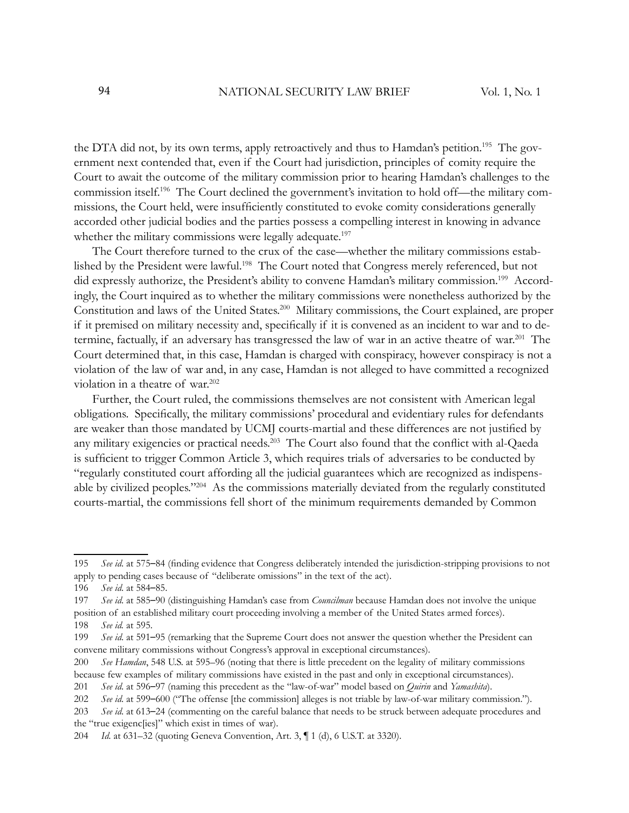the DTA did not, by its own terms, apply retroactively and thus to Hamdan's petition.<sup>195</sup> The government next contended that, even if the Court had jurisdiction, principles of comity require the Court to await the outcome of the military commission prior to hearing Hamdan's challenges to the commission itself.196 The Court declined the government's invitation to hold off—the military commissions, the Court held, were insufficiently constituted to evoke comity considerations generally accorded other judicial bodies and the parties possess a compelling interest in knowing in advance whether the military commissions were legally adequate.<sup>197</sup>

The Court therefore turned to the crux of the case—whether the military commissions established by the President were lawful.<sup>198</sup> The Court noted that Congress merely referenced, but not did expressly authorize, the President's ability to convene Hamdan's military commission.<sup>199</sup> Accordingly, the Court inquired as to whether the military commissions were nonetheless authorized by the Constitution and laws of the United States.<sup>200</sup> Military commissions, the Court explained, are proper if it premised on military necessity and, specifically if it is convened as an incident to war and to determine, factually, if an adversary has transgressed the law of war in an active theatre of war.<sup>201</sup> The Court determined that, in this case, Hamdan is charged with conspiracy, however conspiracy is not a violation of the law of war and, in any case, Hamdan is not alleged to have committed a recognized violation in a theatre of war.<sup>202</sup>

Further, the Court ruled, the commissions themselves are not consistent with American legal obligations. Specifically, the military commissions' procedural and evidentiary rules for defendants are weaker than those mandated by UCMJ courts-martial and these differences are not justified by any military exigencies or practical needs.<sup>203</sup> The Court also found that the conflict with al-Qaeda is sufficient to trigger Common Article 3, which requires trials of adversaries to be conducted by "regularly constituted court affording all the judicial guarantees which are recognized as indispensable by civilized peoples."<sup>204</sup> As the commissions materially deviated from the regularly constituted courts-martial, the commissions fell short of the minimum requirements demanded by Common

<sup>195</sup> *See id.* at 575–84 (finding evidence that Congress deliberately intended the jurisdiction-stripping provisions to not apply to pending cases because of "deliberate omissions" in the text of the act).

<sup>196</sup> *See id*. at 584–85.

<sup>197</sup> *See id*. at 585–90 (distinguishing Hamdan's case from *Councilman* because Hamdan does not involve the unique position of an established military court proceeding involving a member of the United States armed forces). 198 *See id.* at 595.

<sup>199</sup> *See id*. at 591–95 (remarking that the Supreme Court does not answer the question whether the President can convene military commissions without Congress's approval in exceptional circumstances).

<sup>200</sup> *See Hamdan*, 548 U.S. at 595–96 (noting that there is little precedent on the legality of military commissions because few examples of military commissions have existed in the past and only in exceptional circumstances).

<sup>201</sup> *See id*. at 596–97 (naming this precedent as the "law-of-war" model based on *Quirin* and *Yamashita*).

<sup>202</sup> *See id*. at 599–600 ("The offense [the commission] alleges is not triable by law-of-war military commission.").

<sup>203</sup> *See id*. at 613–24 (commenting on the careful balance that needs to be struck between adequate procedures and the "true exigenc[ies]" which exist in times of war).

<sup>204</sup> *Id*. at 631–32 (quoting Geneva Convention, Art. 3, ¶ 1 (d), 6 U.S.T. at 3320).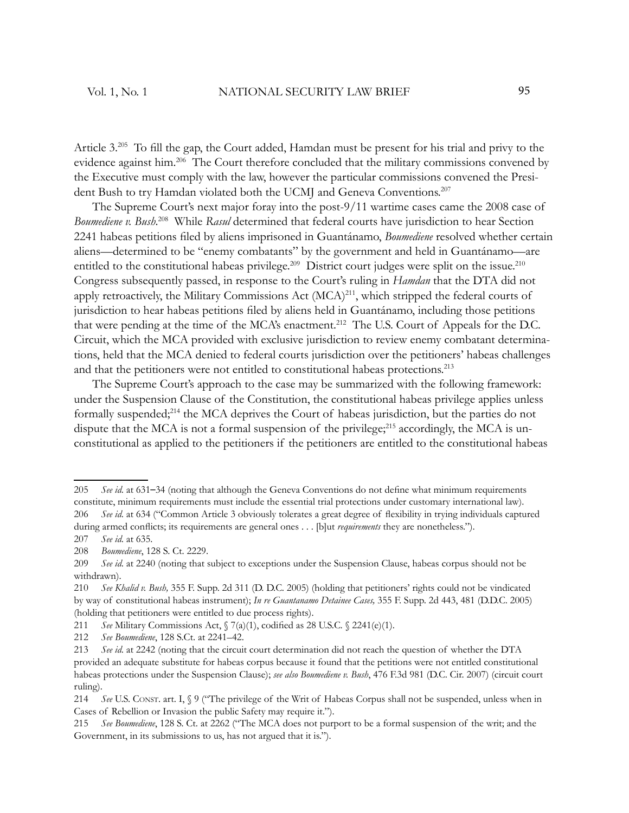Article 3.<sup>205</sup> To fill the gap, the Court added, Hamdan must be present for his trial and privy to the evidence against him.<sup>206</sup> The Court therefore concluded that the military commissions convened by the Executive must comply with the law, however the particular commissions convened the President Bush to try Hamdan violated both the UCMJ and Geneva Conventions.<sup>207</sup>

The Supreme Court's next major foray into the post-9/11 wartime cases came the 2008 case of *Boumediene v. Bush*. <sup>208</sup> While *Rasul* determined that federal courts have jurisdiction to hear Section 2241 habeas petitions filed by aliens imprisoned in Guantánamo, *Boumediene* resolved whether certain aliens—determined to be "enemy combatants" by the government and held in Guantánamo—are entitled to the constitutional habeas privilege.<sup>209</sup> District court judges were split on the issue.<sup>210</sup> Congress subsequently passed, in response to the Court's ruling in *Hamdan* that the DTA did not apply retroactively, the Military Commissions Act (MCA)<sup>211</sup>, which stripped the federal courts of jurisdiction to hear habeas petitions filed by aliens held in Guantánamo, including those petitions that were pending at the time of the MCA's enactment.<sup>212</sup> The U.S. Court of Appeals for the D.C. Circuit, which the MCA provided with exclusive jurisdiction to review enemy combatant determinations, held that the MCA denied to federal courts jurisdiction over the petitioners' habeas challenges and that the petitioners were not entitled to constitutional habeas protections.<sup>213</sup>

The Supreme Court's approach to the case may be summarized with the following framework: under the Suspension Clause of the Constitution, the constitutional habeas privilege applies unless formally suspended;<sup>214</sup> the MCA deprives the Court of habeas jurisdiction, but the parties do not dispute that the MCA is not a formal suspension of the privilege; $^{215}$  accordingly, the MCA is unconstitutional as applied to the petitioners if the petitioners are entitled to the constitutional habeas

<sup>205</sup> *See id.* at 631–34 (noting that although the Geneva Conventions do not define what minimum requirements constitute, minimum requirements must include the essential trial protections under customary international law). 206 *See id.* at 634 ("Common Article 3 obviously tolerates a great degree of flexibility in trying individuals captured

during armed conflicts; its requirements are general ones . . . [b]ut *requirements* they are nonetheless.").

<sup>207</sup> *See id*. at 635.

<sup>208</sup> *Boumediene*, 128 S. Ct. 2229.

<sup>209</sup> *See id*. at 2240 (noting that subject to exceptions under the Suspension Clause, habeas corpus should not be withdrawn).

<sup>210</sup> *See Khalid v. Bush,* 355 F. Supp. 2d 311 (D. D.C. 2005) (holding that petitioners' rights could not be vindicated by way of constitutional habeas instrument); *In re Guantanamo Detainee Cases,* 355 F. Supp. 2d 443, 481 (D.D.C. 2005) (holding that petitioners were entitled to due process rights).

<sup>211</sup> *See* Military Commissions Act,  $\sqrt{(a)(1)}$ , codified as 28 U.S.C.  $\sqrt{(2241(e)(1))}$ .

<sup>212</sup> *See Boumediene*, 128 S.Ct. at 2241–42.

<sup>213</sup> *See id*. at 2242 (noting that the circuit court determination did not reach the question of whether the DTA provided an adequate substitute for habeas corpus because it found that the petitions were not entitled constitutional habeas protections under the Suspension Clause); *see also Boumediene v. Bush*, 476 F.3d 981 (D.C. Cir. 2007) (circuit court ruling).

<sup>214</sup> *See* U.S. CONST. art. I, § 9 ("The privilege of the Writ of Habeas Corpus shall not be suspended, unless when in Cases of Rebellion or Invasion the public Safety may require it.").

<sup>215</sup> *See Boumediene*, 128 S. Ct. at 2262 ("The MCA does not purport to be a formal suspension of the writ; and the Government, in its submissions to us, has not argued that it is.").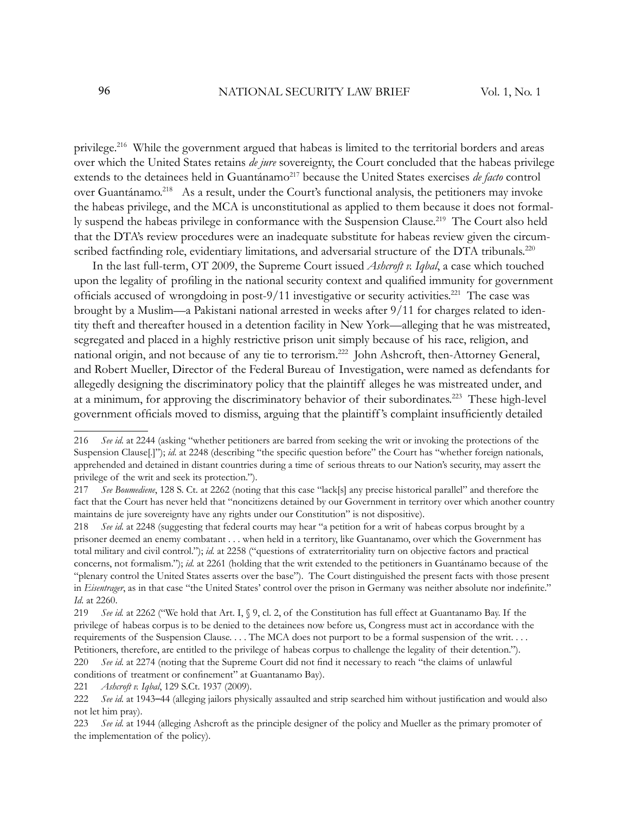privilege.<sup>216</sup> While the government argued that habeas is limited to the territorial borders and areas over which the United States retains *de jure* sovereignty, the Court concluded that the habeas privilege extends to the detainees held in Guantánamo<sup>217</sup> because the United States exercises *de facto* control over Guantánamo.<sup>218</sup> As a result, under the Court's functional analysis, the petitioners may invoke the habeas privilege, and the MCA is unconstitutional as applied to them because it does not formally suspend the habeas privilege in conformance with the Suspension Clause.<sup>219</sup> The Court also held that the DTA's review procedures were an inadequate substitute for habeas review given the circumscribed factfinding role, evidentiary limitations, and adversarial structure of the DTA tribunals.<sup>220</sup>

In the last full-term, OT 2009, the Supreme Court issued *Ashcroft v. Iqbal*, a case which touched upon the legality of profiling in the national security context and qualified immunity for government officials accused of wrongdoing in post-9/11 investigative or security activities.<sup>221</sup> The case was brought by a Muslim—a Pakistani national arrested in weeks after 9/11 for charges related to identity theft and thereafter housed in a detention facility in New York—alleging that he was mistreated, segregated and placed in a highly restrictive prison unit simply because of his race, religion, and national origin, and not because of any tie to terrorism.<sup>222</sup> John Ashcroft, then-Attorney General, and Robert Mueller, Director of the Federal Bureau of Investigation, were named as defendants for allegedly designing the discriminatory policy that the plaintiff alleges he was mistreated under, and at a minimum, for approving the discriminatory behavior of their subordinates.<sup>223</sup> These high-level government officials moved to dismiss, arguing that the plaintiff's complaint insufficiently detailed

conditions of treatment or confinement" at Guantanamo Bay).

221 *Ashcroft v. Iqbal*, 129 S.Ct. 1937 (2009).

<sup>216</sup> *See id*. at 2244 (asking "whether petitioners are barred from seeking the writ or invoking the protections of the Suspension Clause<sup>[1]</sup>"); *id.* at 2248 (describing "the specific question before" the Court has "whether foreign nationals, apprehended and detained in distant countries during a time of serious threats to our Nation's security, may assert the privilege of the writ and seek its protection.").

<sup>217</sup> *See Boumediene*, 128 S. Ct. at 2262 (noting that this case "lack[s] any precise historical parallel" and therefore the fact that the Court has never held that "noncitizens detained by our Government in territory over which another country maintains de jure sovereignty have any rights under our Constitution" is not dispositive).

<sup>218</sup> *See id*. at 2248 (suggesting that federal courts may hear "a petition for a writ of habeas corpus brought by a prisoner deemed an enemy combatant . . . when held in a territory, like Guantanamo, over which the Government has total military and civil control."); *id*. at 2258 ("questions of extraterritoriality turn on objective factors and practical concerns, not formalism."); *id*. at 2261 (holding that the writ extended to the petitioners in Guantánamo because of the "plenary control the United States asserts over the base"). The Court distinguished the present facts with those present in *Eisentrager*, as in that case "the United States' control over the prison in Germany was neither absolute nor indefinite." *Id*. at 2260.

<sup>219</sup> *See id.* at 2262 ("We hold that Art. I, § 9, cl. 2, of the Constitution has full effect at Guantanamo Bay. If the privilege of habeas corpus is to be denied to the detainees now before us, Congress must act in accordance with the requirements of the Suspension Clause. . . . The MCA does not purport to be a formal suspension of the writ. . . . Petitioners, therefore, are entitled to the privilege of habeas corpus to challenge the legality of their detention."). 220 *See id.* at 2274 (noting that the Supreme Court did not find it necessary to reach "the claims of unlawful

<sup>222</sup> *See id.* at 1943–44 (alleging jailors physically assaulted and strip searched him without justification and would also not let him pray).

<sup>223</sup> *See id*. at 1944 (alleging Ashcroft as the principle designer of the policy and Mueller as the primary promoter of the implementation of the policy).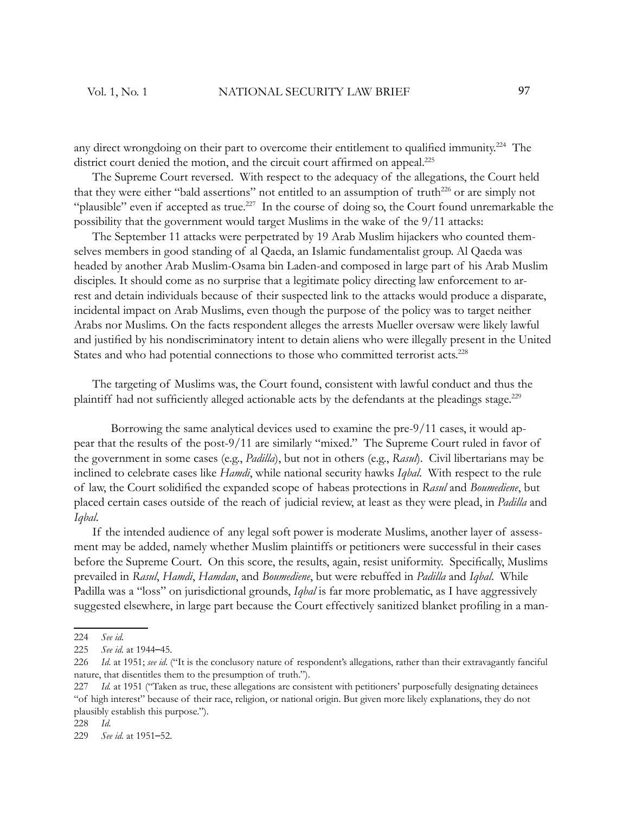any direct wrongdoing on their part to overcome their entitlement to qualified immunity.<sup>224</sup> The district court denied the motion, and the circuit court affirmed on appeal.<sup>225</sup>

The Supreme Court reversed. With respect to the adequacy of the allegations, the Court held that they were either "bald assertions" not entitled to an assumption of truth<sup>226</sup> or are simply not "plausible" even if accepted as true.<sup>227</sup> In the course of doing so, the Court found unremarkable the possibility that the government would target Muslims in the wake of the 9/11 attacks:

The September 11 attacks were perpetrated by 19 Arab Muslim hijackers who counted themselves members in good standing of al Qaeda, an Islamic fundamentalist group. Al Qaeda was headed by another Arab Muslim-Osama bin Laden-and composed in large part of his Arab Muslim disciples. It should come as no surprise that a legitimate policy directing law enforcement to arrest and detain individuals because of their suspected link to the attacks would produce a disparate, incidental impact on Arab Muslims, even though the purpose of the policy was to target neither Arabs nor Muslims. On the facts respondent alleges the arrests Mueller oversaw were likely lawful and justified by his nondiscriminatory intent to detain aliens who were illegally present in the United States and who had potential connections to those who committed terrorist acts.<sup>228</sup>

The targeting of Muslims was, the Court found, consistent with lawful conduct and thus the plaintiff had not sufficiently alleged actionable acts by the defendants at the pleadings stage.<sup>229</sup>

 Borrowing the same analytical devices used to examine the pre-9/11 cases, it would appear that the results of the post-9/11 are similarly "mixed." The Supreme Court ruled in favor of the government in some cases (e.g., *Padilla*), but not in others (e.g., *Rasul*). Civil libertarians may be inclined to celebrate cases like *Hamdi*, while national security hawks *Iqbal*. With respect to the rule of law, the Court solidified the expanded scope of habeas protections in *Rasul* and *Boumediene*, but placed certain cases outside of the reach of judicial review, at least as they were plead, in *Padilla* and *Iqbal*.

If the intended audience of any legal soft power is moderate Muslims, another layer of assessment may be added, namely whether Muslim plaintiffs or petitioners were successful in their cases before the Supreme Court. On this score, the results, again, resist uniformity. Specifically, Muslims prevailed in *Rasul*, *Hamdi*, *Hamdan*, and *Boumediene*, but were rebuffed in *Padilla* and *Iqbal*. While Padilla was a "loss" on jurisdictional grounds, *Iqbal* is far more problematic, as I have aggressively suggested elsewhere, in large part because the Court effectively sanitized blanket profiling in a man-

<sup>224</sup> *See id*.

<sup>225</sup> *See id*. at 1944–45.

<sup>226</sup> *Id*. at 1951; *see id*. ("It is the conclusory nature of respondent's allegations, rather than their extravagantly fanciful nature, that disentitles them to the presumption of truth.").

<sup>227</sup> *Id.* at 1951 ("Taken as true, these allegations are consistent with petitioners' purposefully designating detainees "of high interest" because of their race, religion, or national origin. But given more likely explanations, they do not plausibly establish this purpose.").

<sup>228</sup> *Id*.

<sup>229</sup> *See id*. at 1951–52.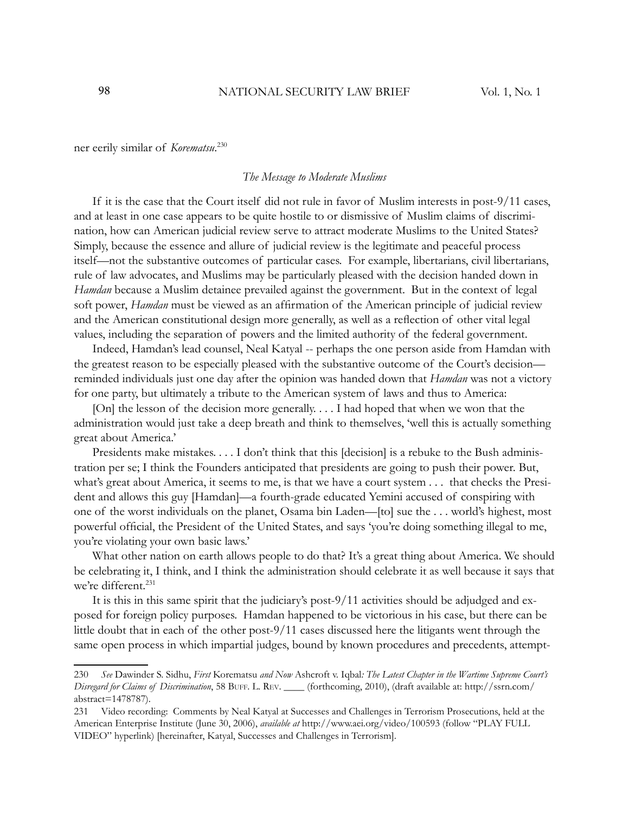ner eerily similar of *Korematsu*. 230

#### *The Message to Moderate Muslims*

If it is the case that the Court itself did not rule in favor of Muslim interests in post-9/11 cases, and at least in one case appears to be quite hostile to or dismissive of Muslim claims of discrimination, how can American judicial review serve to attract moderate Muslims to the United States? Simply, because the essence and allure of judicial review is the legitimate and peaceful process itself—not the substantive outcomes of particular cases. For example, libertarians, civil libertarians, rule of law advocates, and Muslims may be particularly pleased with the decision handed down in *Hamdan* because a Muslim detainee prevailed against the government. But in the context of legal soft power, *Hamdan* must be viewed as an affirmation of the American principle of judicial review and the American constitutional design more generally, as well as a reflection of other vital legal values, including the separation of powers and the limited authority of the federal government.

Indeed, Hamdan's lead counsel, Neal Katyal -- perhaps the one person aside from Hamdan with the greatest reason to be especially pleased with the substantive outcome of the Court's decision reminded individuals just one day after the opinion was handed down that *Hamdan* was not a victory for one party, but ultimately a tribute to the American system of laws and thus to America:

[On] the lesson of the decision more generally. . . . I had hoped that when we won that the administration would just take a deep breath and think to themselves, 'well this is actually something great about America.'

Presidents make mistakes. . . . I don't think that this [decision] is a rebuke to the Bush administration per se; I think the Founders anticipated that presidents are going to push their power. But, what's great about America, it seems to me, is that we have a court system . . . that checks the President and allows this guy [Hamdan]—a fourth-grade educated Yemini accused of conspiring with one of the worst individuals on the planet, Osama bin Laden—[to] sue the . . . world's highest, most powerful official, the President of the United States, and says 'you're doing something illegal to me, you're violating your own basic laws.'

What other nation on earth allows people to do that? It's a great thing about America. We should be celebrating it, I think, and I think the administration should celebrate it as well because it says that we're different.<sup>231</sup>

It is this in this same spirit that the judiciary's post-9/11 activities should be adjudged and exposed for foreign policy purposes. Hamdan happened to be victorious in his case, but there can be little doubt that in each of the other post-9/11 cases discussed here the litigants went through the same open process in which impartial judges, bound by known procedures and precedents, attempt-

<sup>230</sup> *See* Dawinder S. Sidhu, *First* Korematsu *and Now* Ashcroft v. Iqbal*: The Latest Chapter in the Wartime Supreme Court's Disregard for Claims of Discrimination*, 58 BUFF. L. REV. \_\_\_\_ (forthcoming, 2010), (draft available at: http://ssrn.com/ abstract=1478787).

<sup>231</sup> Video recording: Comments by Neal Katyal at Successes and Challenges in Terrorism Prosecutions, held at the American Enterprise Institute (June 30, 2006), *available at* http://www.aei.org/video/100593 (follow "PLAY FULL VIDEO" hyperlink) [hereinafter, Katyal, Successes and Challenges in Terrorism].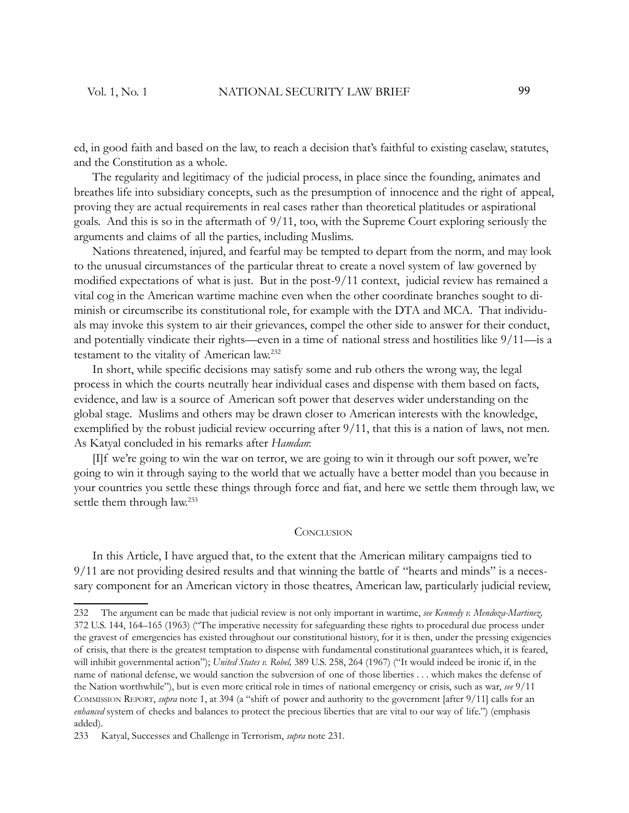ed, in good faith and based on the law, to reach a decision that's faithful to existing caselaw, statutes, and the Constitution as a whole.

The regularity and legitimacy of the judicial process, in place since the founding, animates and breathes life into subsidiary concepts, such as the presumption of innocence and the right of appeal, proving they are actual requirements in real cases rather than theoretical platitudes or aspirational goals. And this is so in the aftermath of 9/11, too, with the Supreme Court exploring seriously the arguments and claims of all the parties, including Muslims.

Nations threatened, injured, and fearful may be tempted to depart from the norm, and may look to the unusual circumstances of the particular threat to create a novel system of law governed by modified expectations of what is just. But in the post-9/11 context, judicial review has remained a vital cog in the American wartime machine even when the other coordinate branches sought to diminish or circumscribe its constitutional role, for example with the DTA and MCA. That individuals may invoke this system to air their grievances, compel the other side to answer for their conduct, and potentially vindicate their rights—even in a time of national stress and hostilities like 9/11—is a testament to the vitality of American law.<sup>232</sup>

In short, while specific decisions may satisfy some and rub others the wrong way, the legal process in which the courts neutrally hear individual cases and dispense with them based on facts, evidence, and law is a source of American soft power that deserves wider understanding on the global stage. Muslims and others may be drawn closer to American interests with the knowledge, exemplified by the robust judicial review occurring after  $9/11$ , that this is a nation of laws, not men. As Katyal concluded in his remarks after *Hamdan*:

[I]f we're going to win the war on terror, we are going to win it through our soft power, we're going to win it through saying to the world that we actually have a better model than you because in your countries you settle these things through force and fiat, and here we settle them through law, we settle them through law.<sup>233</sup>

#### **CONCLUSION**

In this Article, I have argued that, to the extent that the American military campaigns tied to 9/11 are not providing desired results and that winning the battle of "hearts and minds" is a necessary component for an American victory in those theatres, American law, particularly judicial review,

<sup>232</sup> The argument can be made that judicial review is not only important in wartime, *see Kennedy v. Mendoza-Martinez,* 372 U.S. 144, 164–165 (1963) ("The imperative necessity for safeguarding these rights to procedural due process under the gravest of emergencies has existed throughout our constitutional history, for it is then, under the pressing exigencies of crisis, that there is the greatest temptation to dispense with fundamental constitutional guarantees which, it is feared, will inhibit governmental action"); *United States v. Robel,* 389 U.S. 258, 264 (1967) ("It would indeed be ironic if, in the name of national defense, we would sanction the subversion of one of those liberties . . . which makes the defense of the Nation worthwhile"), but is even more critical role in times of national emergency or crisis, such as war, *see* 9/11 COMMISSION REPORT, *supra* note 1, at 394 (a "shift of power and authority to the government [after 9/11] calls for an *enhanced* system of checks and balances to protect the precious liberties that are vital to our way of life.") (emphasis added).

<sup>233</sup> Katyal, Successes and Challenge in Terrorism, *supra* note 231.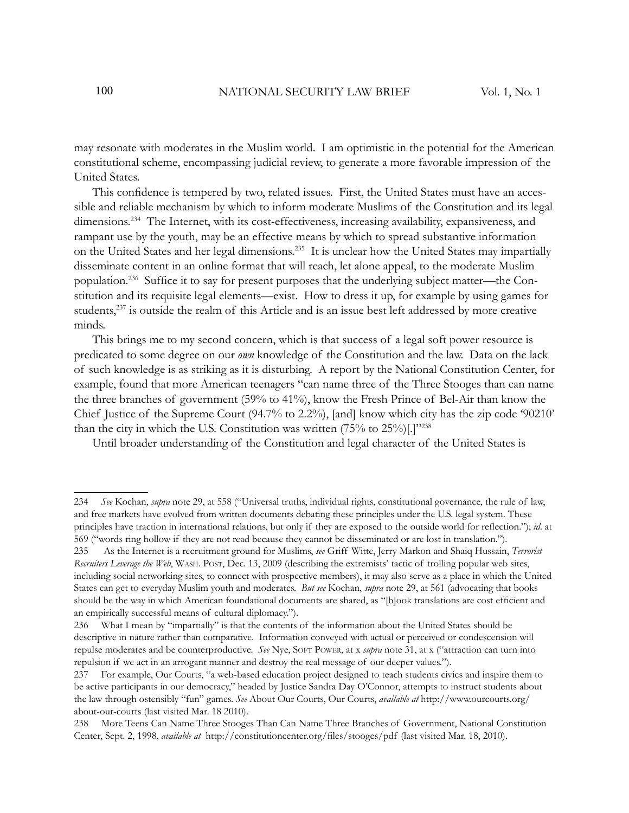may resonate with moderates in the Muslim world. I am optimistic in the potential for the American constitutional scheme, encompassing judicial review, to generate a more favorable impression of the United States.

This confidence is tempered by two, related issues. First, the United States must have an accessible and reliable mechanism by which to inform moderate Muslims of the Constitution and its legal dimensions.<sup>234</sup> The Internet, with its cost-effectiveness, increasing availability, expansiveness, and rampant use by the youth, may be an effective means by which to spread substantive information on the United States and her legal dimensions.<sup>235</sup> It is unclear how the United States may impartially disseminate content in an online format that will reach, let alone appeal, to the moderate Muslim population.<sup>236</sup> Suffice it to say for present purposes that the underlying subject matter—the Constitution and its requisite legal elements—exist. How to dress it up, for example by using games for students,<sup>237</sup> is outside the realm of this Article and is an issue best left addressed by more creative minds.

This brings me to my second concern, which is that success of a legal soft power resource is predicated to some degree on our *own* knowledge of the Constitution and the law. Data on the lack of such knowledge is as striking as it is disturbing. A report by the National Constitution Center, for example, found that more American teenagers "can name three of the Three Stooges than can name the three branches of government (59% to 41%), know the Fresh Prince of Bel-Air than know the Chief Justice of the Supreme Court (94.7% to 2.2%), [and] know which city has the zip code '90210' than the city in which the U.S. Constitution was written  $(75\%$  to  $25\%)$ .  $[3\cdot 238]$ 

Until broader understanding of the Constitution and legal character of the United States is

<sup>234</sup> *See* Kochan, *supra* note 29, at 558 ("Universal truths, individual rights, constitutional governance, the rule of law, and free markets have evolved from written documents debating these principles under the U.S. legal system. These principles have traction in international relations, but only if they are exposed to the outside world for reflection."); *id.* at 569 ("words ring hollow if they are not read because they cannot be disseminated or are lost in translation.").

<sup>235</sup> As the Internet is a recruitment ground for Muslims, *see* Griff Witte, Jerry Markon and Shaiq Hussain, *Terrorist Recruiters Leverage the Web*, WASH. POST, Dec. 13, 2009 (describing the extremists' tactic of trolling popular web sites, including social networking sites, to connect with prospective members), it may also serve as a place in which the United States can get to everyday Muslim youth and moderates. *But see* Kochan, *supra* note 29, at 561 (advocating that books should be the way in which American foundational documents are shared, as "[b]ook translations are cost efficient and an empirically successful means of cultural diplomacy.").

<sup>236</sup> What I mean by "impartially" is that the contents of the information about the United States should be descriptive in nature rather than comparative. Information conveyed with actual or perceived or condescension will repulse moderates and be counterproductive. *See* Nye, SOFT POWER, at x *supra* note 31, at x ("attraction can turn into repulsion if we act in an arrogant manner and destroy the real message of our deeper values.").

<sup>237</sup> For example, Our Courts, "a web-based education project designed to teach students civics and inspire them to be active participants in our democracy," headed by Justice Sandra Day O'Connor, attempts to instruct students about the law through ostensibly "fun" games. *See* About Our Courts, Our Courts, *available at* http://www.ourcourts.org/ about-our-courts (last visited Mar. 18 2010).

<sup>238</sup> More Teens Can Name Three Stooges Than Can Name Three Branches of Government, National Constitution Center, Sept. 2, 1998, *available at* http://constitutioncenter.org/files/stooges/pdf (last visited Mar. 18, 2010).